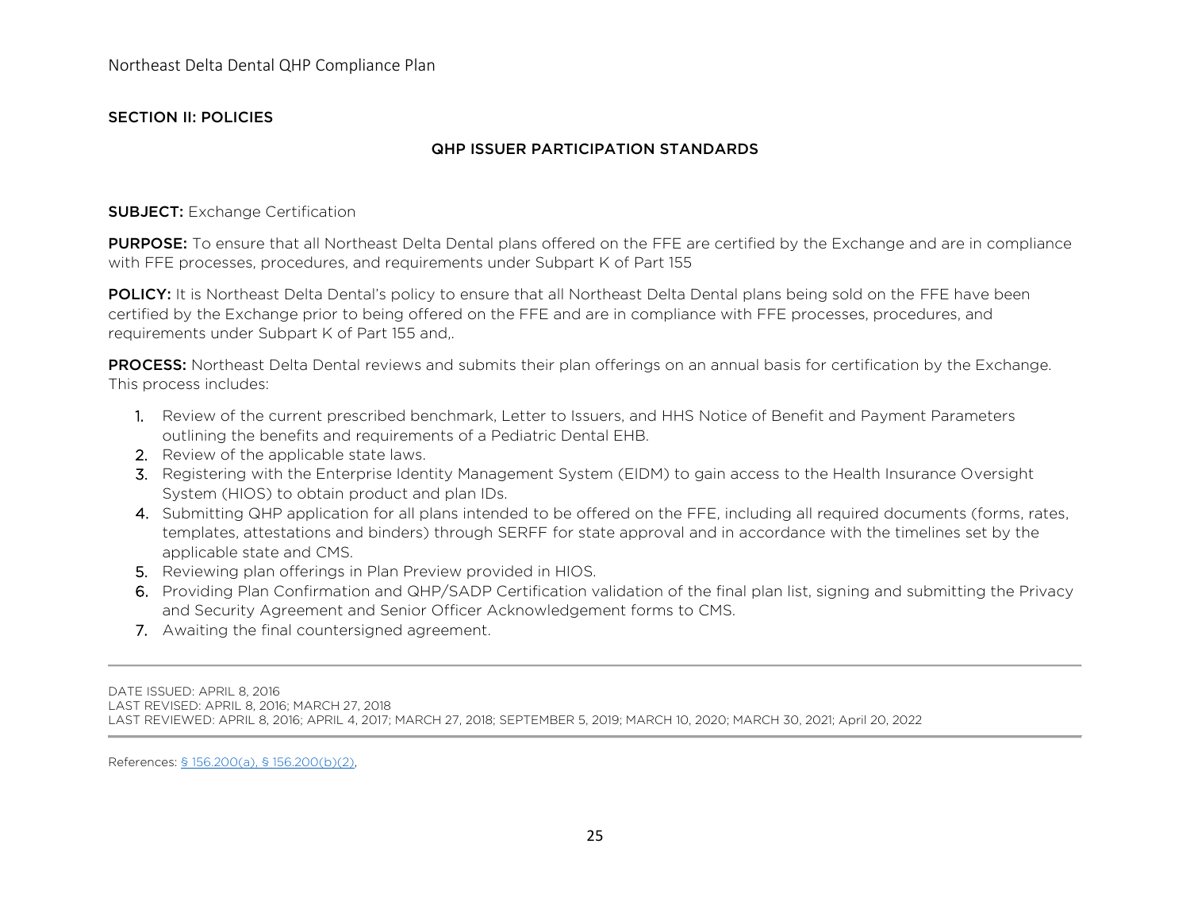## SECTION II: POLICIES

## QHP ISSUER PARTICIPATION STANDARDS

#### SUBJECT: Exchange Certification

PURPOSE: To ensure that all Northeast Delta Dental plans offered on the FFE are certified by the Exchange and are in compliance with FFE processes, procedures, and requirements under Subpart K of Part 155

POLICY: It is Northeast Delta Dental's policy to ensure that all Northeast Delta Dental plans being sold on the FFE have been certified by the Exchange prior to being offered on the FFE and are in compliance with FFE processes, procedures, and requirements under Subpart K of Part 155 and,.

**PROCESS:** Northeast Delta Dental reviews and submits their plan offerings on an annual basis for certification by the Exchange. This process includes:

- 1. Review of the current prescribed benchmark, Letter to Issuers, and HHS Notice of Benefit and Payment Parameters outlining the benefits and requirements of a Pediatric Dental EHB.
- 2. Review of the applicable state laws.
- 3. Registering with the Enterprise Identity Management System (EIDM) to gain access to the Health Insurance Oversight System (HIOS) to obtain product and plan IDs.
- 4. Submitting QHP application for all plans intended to be offered on the FFE, including all required documents (forms, rates, templates, attestations and binders) through SERFF for state approval and in accordance with the timelines set by the applicable state and CMS.
- 5. Reviewing plan offerings in Plan Preview provided in HIOS.
- 6. Providing Plan Confirmation and QHP/SADP Certification validation of the final plan list, signing and submitting the Privacy and Security Agreement and Senior Officer Acknowledgement forms to CMS.
- 7. Awaiting the final countersigned agreement.

DATE ISSUED: APRIL 8, 2016

LAST REVISED: APRIL 8, 2016; MARCH 27, 2018

LAST REVIEWED: APRIL 8, 2016; APRIL 4, 2017; MARCH 27, 2018; SEPTEMBER 5, 2019; MARCH 10, 2020; MARCH 30, 2021; April 20, 2022

References: [§ 156.200\(a\), § 156.200\(b\)\(2\),](https://www.law.cornell.edu/cfr/text/45/156.200)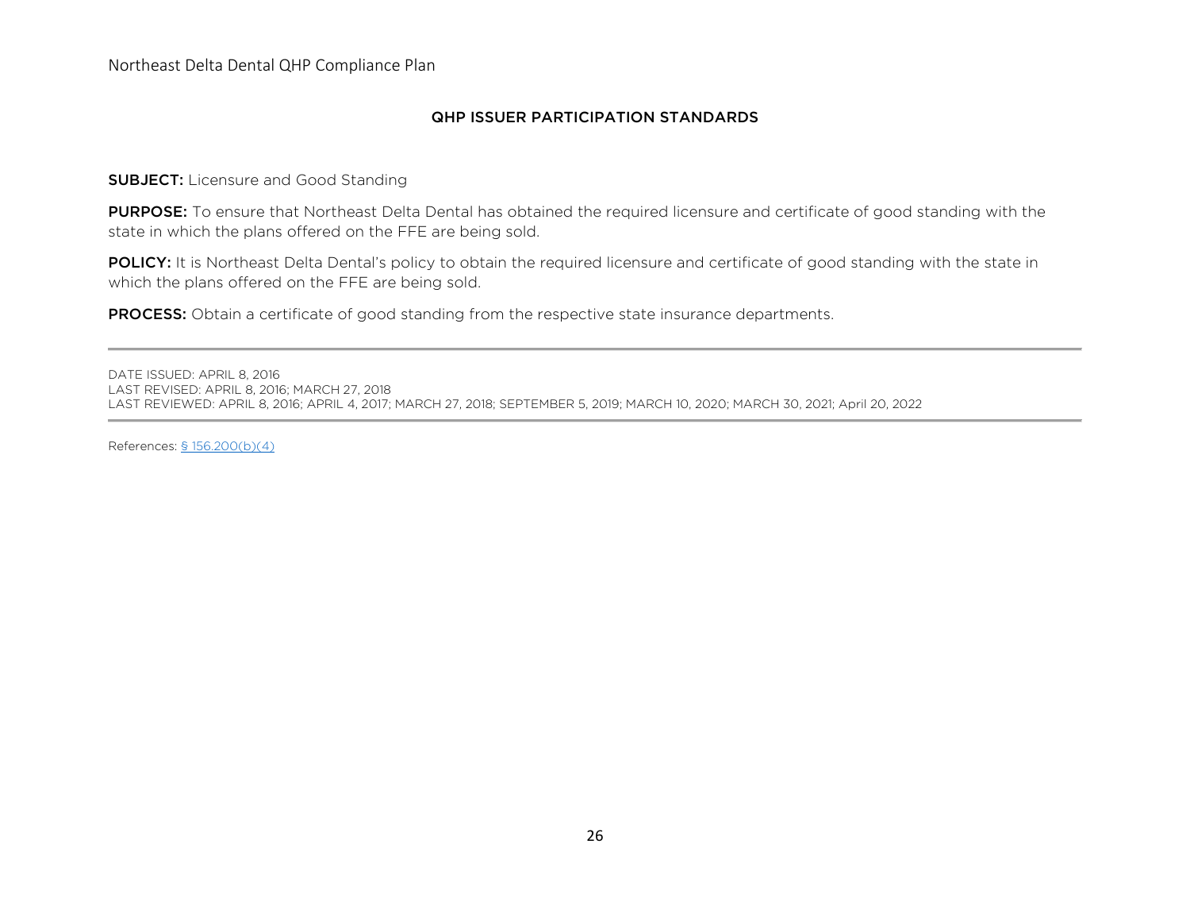### QHP ISSUER PARTICIPATION STANDARDS

**SUBJECT:** Licensure and Good Standing

PURPOSE: To ensure that Northeast Delta Dental has obtained the required licensure and certificate of good standing with the state in which the plans offered on the FFE are being sold.

POLICY: It is Northeast Delta Dental's policy to obtain the required licensure and certificate of good standing with the state in which the plans offered on the FFE are being sold.

**PROCESS:** Obtain a certificate of good standing from the respective state insurance departments.

DATE ISSUED: APRIL 8, 2016 LAST REVISED: APRIL 8, 2016; MARCH 27, 2018 LAST REVIEWED: APRIL 8, 2016; APRIL 4, 2017; MARCH 27, 2018; SEPTEMBER 5, 2019; MARCH 10, 2020; MARCH 30, 2021; April 20, 2022

References: [§ 156.200\(b\)\(4\)](https://www.law.cornell.edu/cfr/text/45/156.200)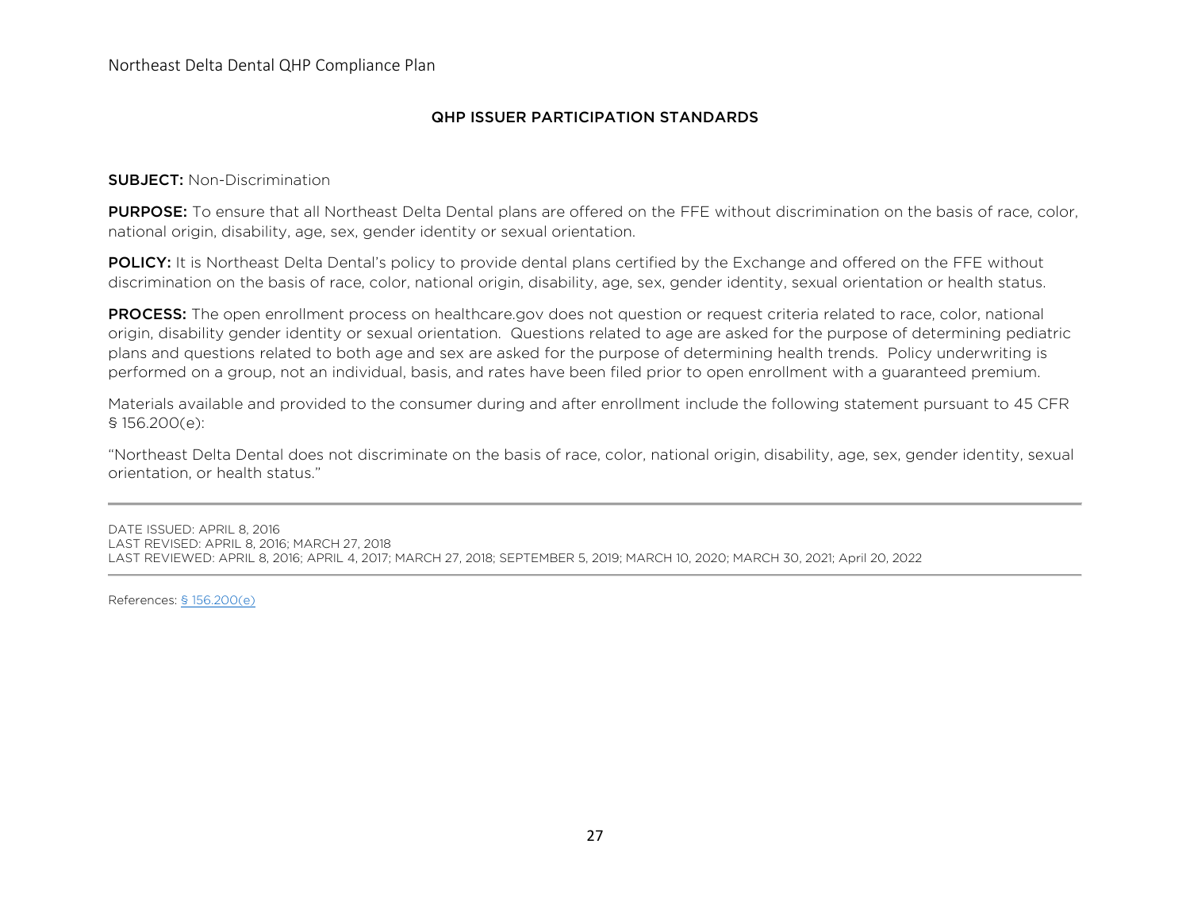## QHP ISSUER PARTICIPATION STANDARDS

#### SUBJECT: Non-Discrimination

PURPOSE: To ensure that all Northeast Delta Dental plans are offered on the FFE without discrimination on the basis of race, color, national origin, disability, age, sex, gender identity or sexual orientation.

POLICY: It is Northeast Delta Dental's policy to provide dental plans certified by the Exchange and offered on the FFE without discrimination on the basis of race, color, national origin, disability, age, sex, gender identity, sexual orientation or health status.

**PROCESS:** The open enrollment process on healthcare.gov does not question or request criteria related to race, color, national origin, disability gender identity or sexual orientation. Questions related to age are asked for the purpose of determining pediatric plans and questions related to both age and sex are asked for the purpose of determining health trends. Policy underwriting is performed on a group, not an individual, basis, and rates have been filed prior to open enrollment with a guaranteed premium.

Materials available and provided to the consumer during and after enrollment include the following statement pursuant to 45 CFR § 156.200(e):

"Northeast Delta Dental does not discriminate on the basis of race, color, national origin, disability, age, sex, gender identity, sexual orientation, or health status."

DATE ISSUED: APRIL 8, 2016 LAST REVISED: APRIL 8, 2016; MARCH 27, 2018 LAST REVIEWED: APRIL 8, 2016; APRIL 4, 2017; MARCH 27, 2018; SEPTEMBER 5, 2019; MARCH 10, 2020; MARCH 30, 2021; April 20, 2022

References: [§ 156.200\(e\)](https://www.law.cornell.edu/cfr/text/45/156.200)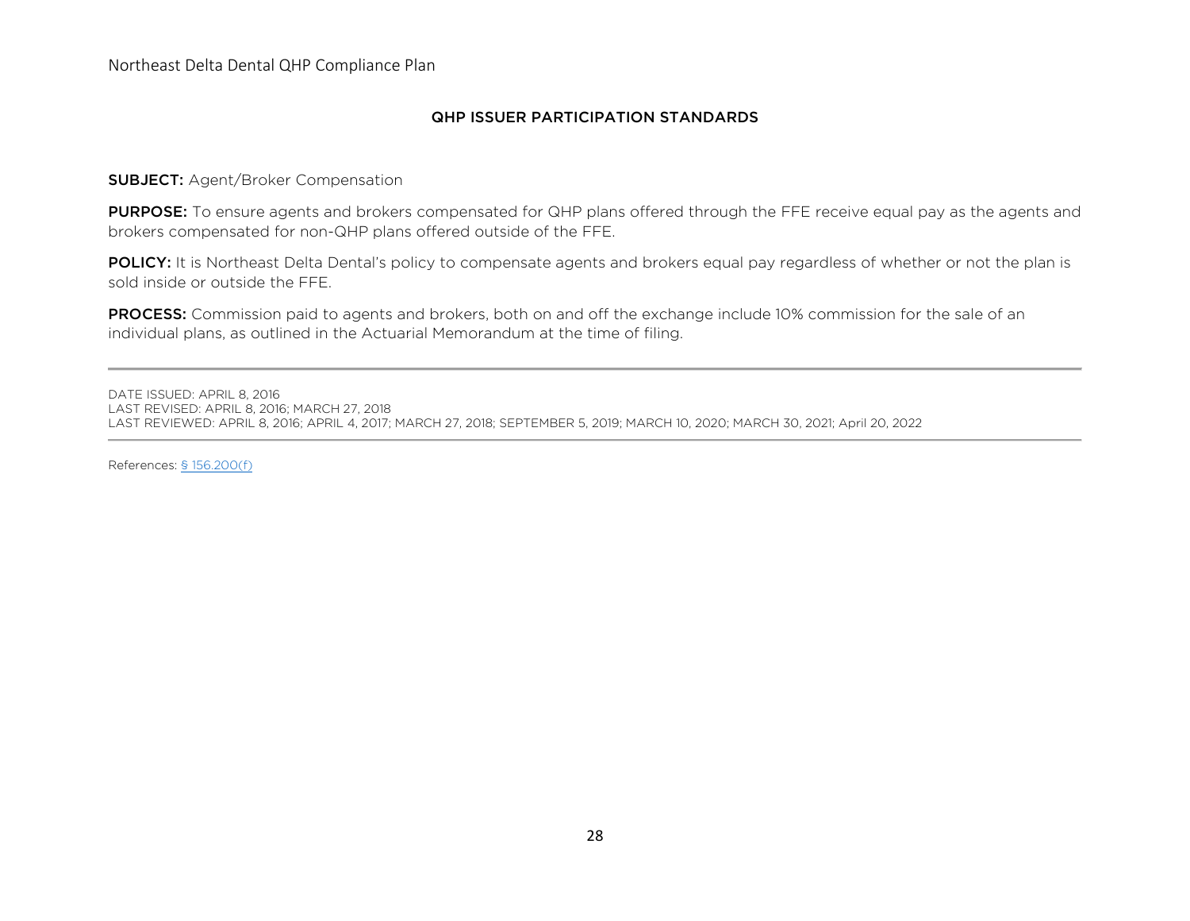### QHP ISSUER PARTICIPATION STANDARDS

## SUBJECT: Agent/Broker Compensation

PURPOSE: To ensure agents and brokers compensated for QHP plans offered through the FFE receive equal pay as the agents and brokers compensated for non-QHP plans offered outside of the FFE.

POLICY: It is Northeast Delta Dental's policy to compensate agents and brokers equal pay regardless of whether or not the plan is sold inside or outside the FFE.

PROCESS: Commission paid to agents and brokers, both on and off the exchange include 10% commission for the sale of an individual plans, as outlined in the Actuarial Memorandum at the time of filing.

DATE ISSUED: APRIL 8, 2016 LAST REVISED: APRIL 8, 2016; MARCH 27, 2018 LAST REVIEWED: APRIL 8, 2016; APRIL 4, 2017; MARCH 27, 2018; SEPTEMBER 5, 2019; MARCH 10, 2020; MARCH 30, 2021; April 20, 2022

References: [§ 156.200\(f\)](https://www.law.cornell.edu/cfr/text/45/156.200)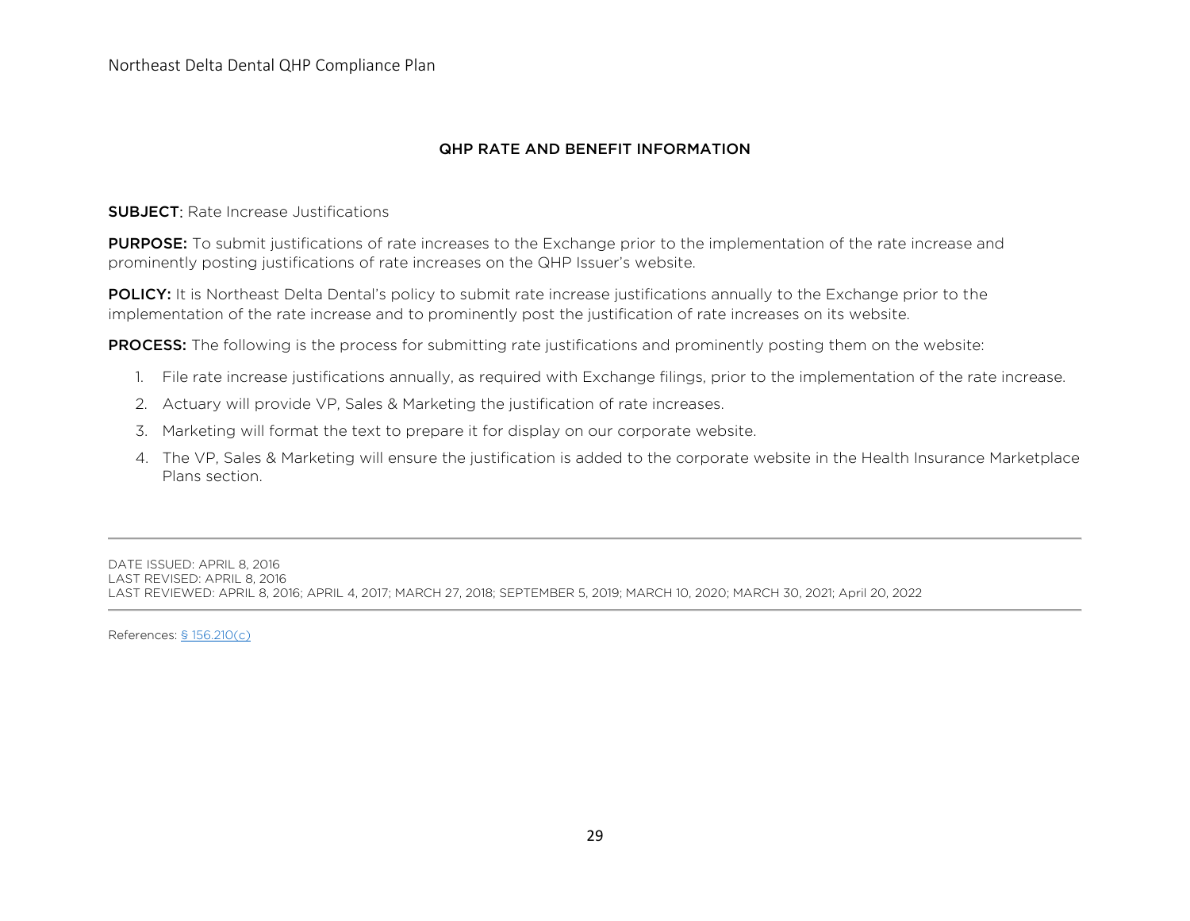Northeast Delta Dental QHP Compliance Plan

## QHP RATE AND BENEFIT INFORMATION

**SUBJECT:** Rate Increase Justifications

**PURPOSE:** To submit justifications of rate increases to the Exchange prior to the implementation of the rate increase and prominently posting justifications of rate increases on the QHP Issuer's website.

POLICY: It is Northeast Delta Dental's policy to submit rate increase justifications annually to the Exchange prior to the implementation of the rate increase and to prominently post the justification of rate increases on its website.

**PROCESS:** The following is the process for submitting rate justifications and prominently posting them on the website:

- 1. File rate increase justifications annually, as required with Exchange filings, prior to the implementation of the rate increase.
- 2. Actuary will provide VP, Sales & Marketing the justification of rate increases.
- 3. Marketing will format the text to prepare it for display on our corporate website.
- 4. The VP, Sales & Marketing will ensure the justification is added to the corporate website in the Health Insurance Marketplace Plans section.

DATE ISSUED: APRIL 8, 2016 LAST REVISED: APRIL 8, 2016 LAST REVIEWED: APRIL 8, 2016; APRIL 4, 2017; MARCH 27, 2018; SEPTEMBER 5, 2019; MARCH 10, 2020; MARCH 30, 2021; April 20, 2022

References: [§ 156.210\(c\)](https://www.law.cornell.edu/cfr/text/45/156.210)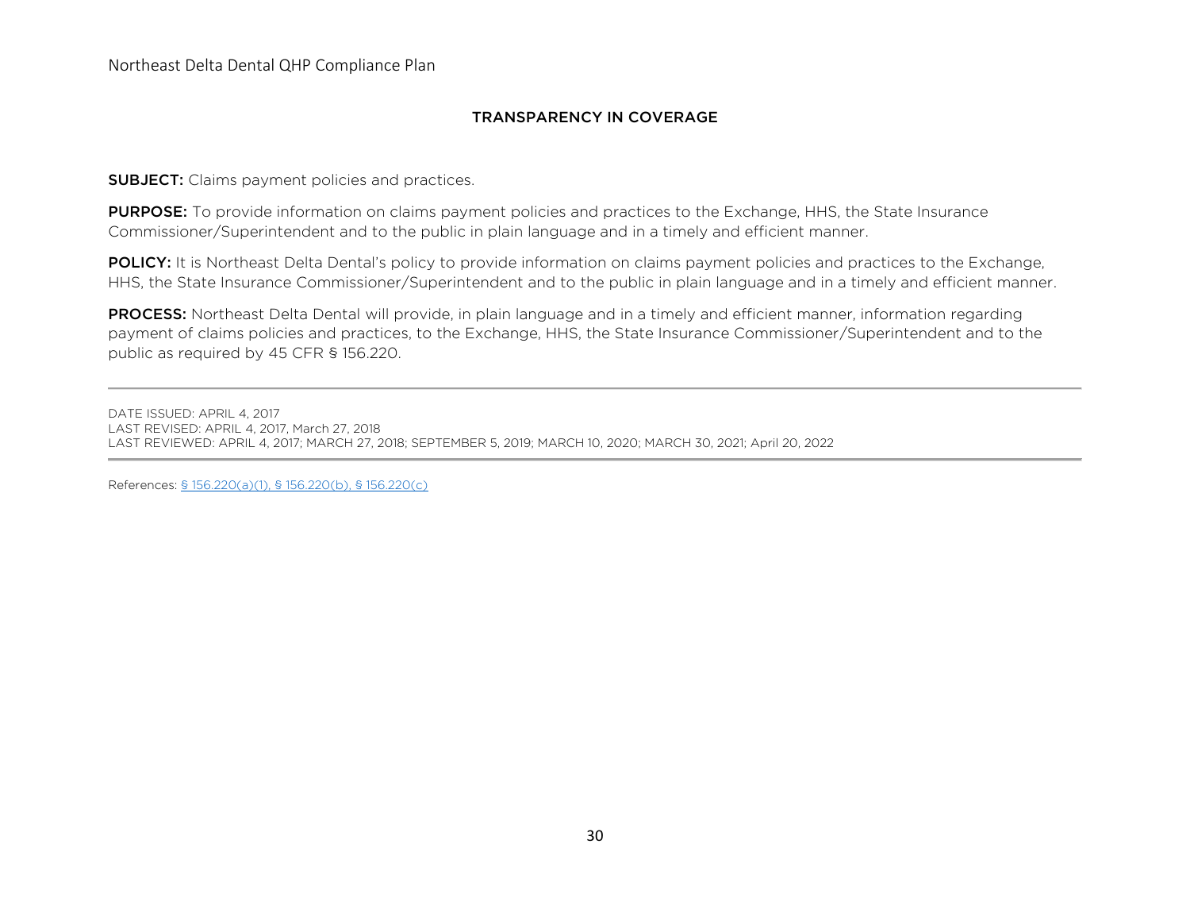## TRANSPARENCY IN COVERAGE

**SUBJECT:** Claims payment policies and practices.

PURPOSE: To provide information on claims payment policies and practices to the Exchange, HHS, the State Insurance Commissioner/Superintendent and to the public in plain language and in a timely and efficient manner.

POLICY: It is Northeast Delta Dental's policy to provide information on claims payment policies and practices to the Exchange, HHS, the State Insurance Commissioner/Superintendent and to the public in plain language and in a timely and efficient manner.

PROCESS: Northeast Delta Dental will provide, in plain language and in a timely and efficient manner, information regarding payment of claims policies and practices, to the Exchange, HHS, the State Insurance Commissioner/Superintendent and to the public as required by 45 CFR § 156.220.

DATE ISSUED: APRIL 4, 2017 LAST REVISED: APRIL 4, 2017, March 27, 2018 LAST REVIEWED: APRIL 4, 2017; MARCH 27, 2018; SEPTEMBER 5, 2019; MARCH 10, 2020; MARCH 30, 2021; April 20, 2022

References: [§ 156.220\(a\)\(](https://www.law.cornell.edu/cfr/text/45/156.225)1), § 156.220(b), § 156.220(c)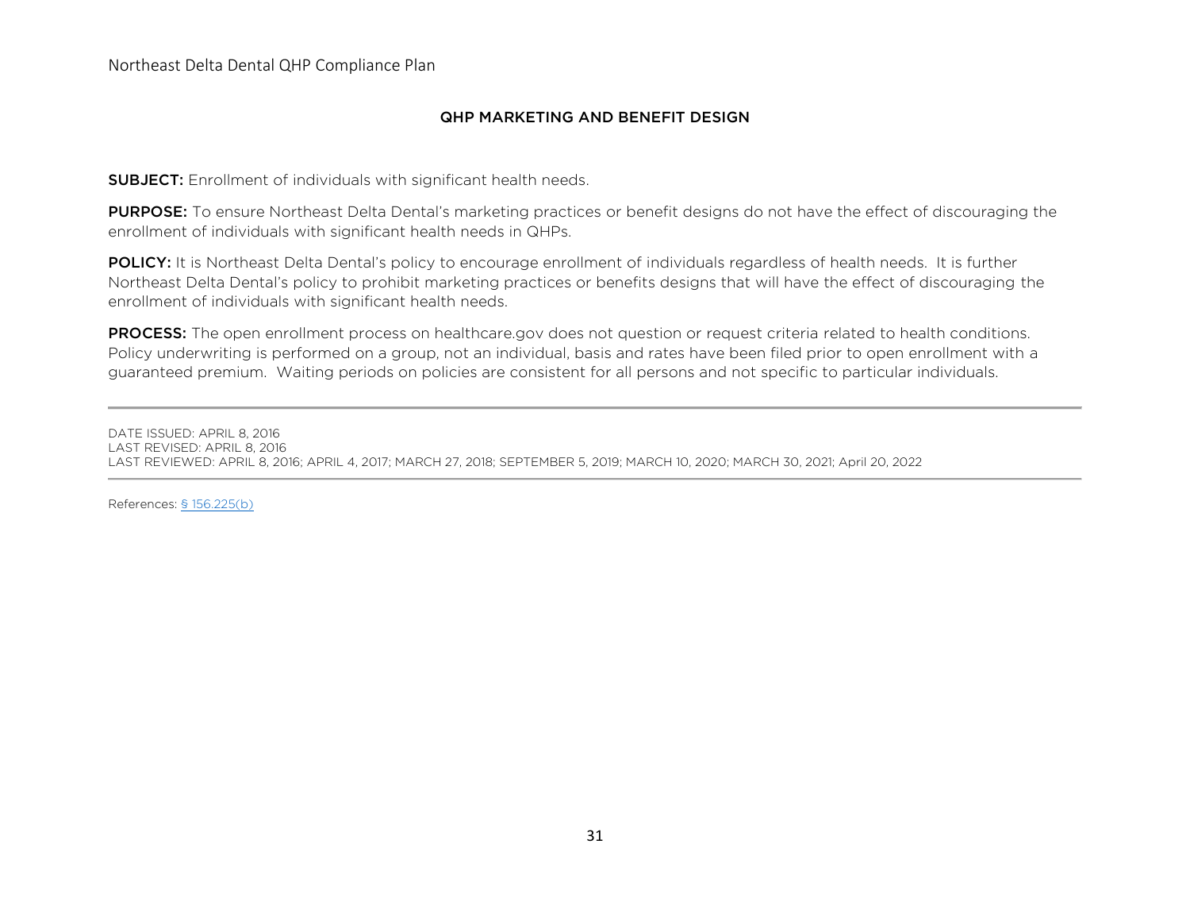## QHP MARKETING AND BENEFIT DESIGN

**SUBJECT:** Enrollment of individuals with significant health needs.

PURPOSE: To ensure Northeast Delta Dental's marketing practices or benefit designs do not have the effect of discouraging the enrollment of individuals with significant health needs in QHPs.

POLICY: It is Northeast Delta Dental's policy to encourage enrollment of individuals regardless of health needs. It is further Northeast Delta Dental's policy to prohibit marketing practices or benefits designs that will have the effect of discouraging the enrollment of individuals with significant health needs.

PROCESS: The open enrollment process on healthcare.gov does not question or request criteria related to health conditions. Policy underwriting is performed on a group, not an individual, basis and rates have been filed prior to open enrollment with a guaranteed premium. Waiting periods on policies are consistent for all persons and not specific to particular individuals.

DATE ISSUED: APRIL 8, 2016 LAST REVISED: APRIL 8, 2016 LAST REVIEWED: APRIL 8, 2016; APRIL 4, 2017; MARCH 27, 2018; SEPTEMBER 5, 2019; MARCH 10, 2020; MARCH 30, 2021; April 20, 2022

References: [§ 156.225\(b\)](https://www.law.cornell.edu/cfr/text/45/156.225)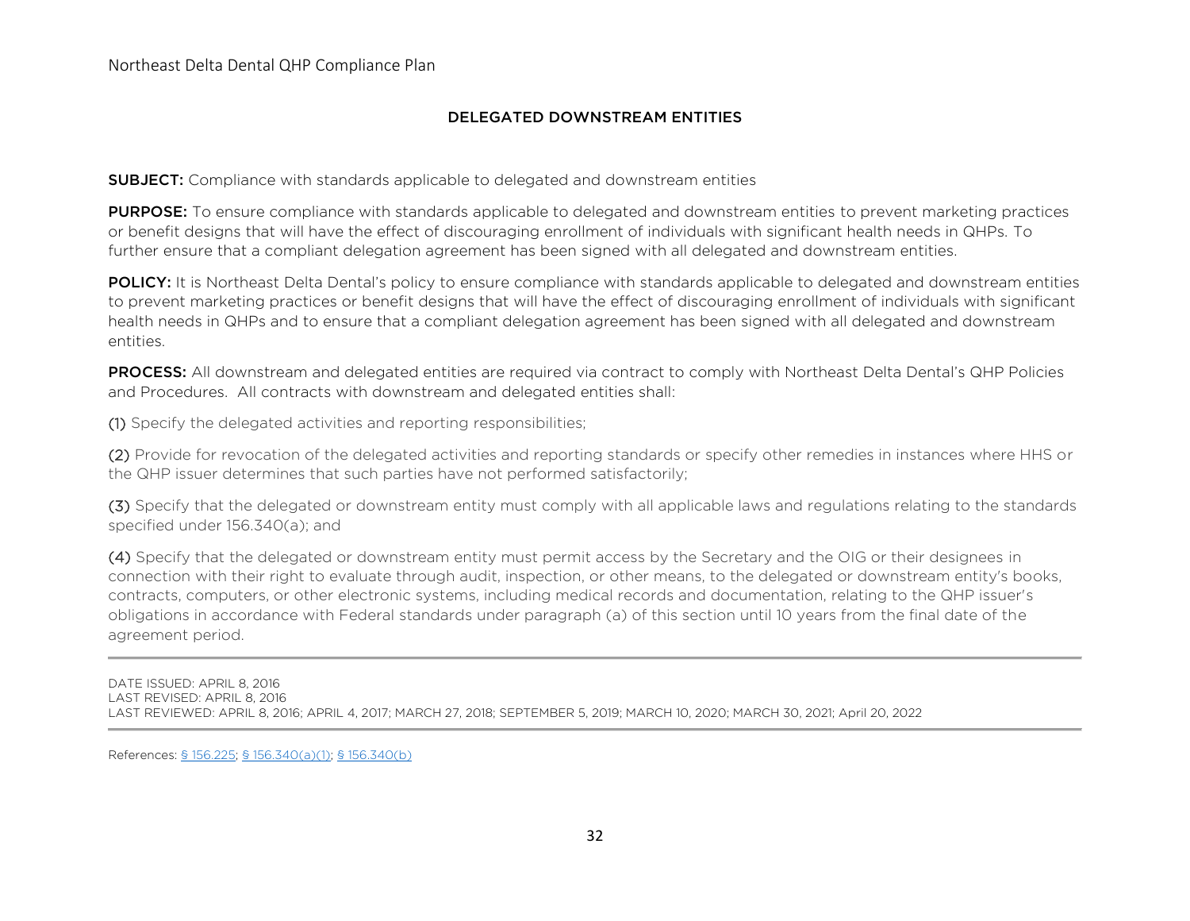## DELEGATED DOWNSTREAM ENTITIES

**SUBJECT:** Compliance with standards applicable to delegated and downstream entities

**PURPOSE:** To ensure compliance with standards applicable to delegated and downstream entities to prevent marketing practices or benefit designs that will have the effect of discouraging enrollment of individuals with significant health needs in QHPs. To further ensure that a compliant delegation agreement has been signed with all delegated and downstream entities.

POLICY: It is Northeast Delta Dental's policy to ensure compliance with standards applicable to delegated and downstream entities to prevent marketing practices or benefit designs that will have the effect of discouraging enrollment of individuals with significant health needs in QHPs and to ensure that a compliant delegation agreement has been signed with all delegated and downstream entities.

PROCESS: All downstream and delegated entities are required via contract to comply with Northeast Delta Dental's QHP Policies and Procedures. All contracts with downstream and delegated entities shall:

(1) Specify the delegated activities and reporting responsibilities;

(2) Provide for revocation of the delegated activities and reporting standards or specify other remedies in instances where HHS or the QHP issuer determines that such parties have not performed satisfactorily;

(3) Specify that the delegated or downstream entity must comply with all applicable laws and regulations relating to the standards specified under 156.340(a); and

(4) Specify that the delegated or downstream entity must permit access by the Secretary and the OIG or their designees in connection with their right to evaluate through audit, inspection, or other means, to the delegated or downstream entity's books, contracts, computers, or other electronic systems, including medical records and documentation, relating to the QHP issuer's obligations in accordance with Federal standards under paragraph (a) of this section until 10 years from the final date of the agreement period.

DATE ISSUED: APRIL 8, 2016 LAST REVISED: APRIL 8, 2016 LAST REVIEWED: APRIL 8, 2016; APRIL 4, 2017; MARCH 27, 2018; SEPTEMBER 5, 2019; MARCH 10, 2020; MARCH 30, 2021; April 20, 2022

References: [§ 156.225;](https://www.law.cornell.edu/cfr/text/45/156.225) [§ 156.340\(a\)\(1\); § 156.340\(b\)](https://www.law.cornell.edu/cfr/text/45/156.340)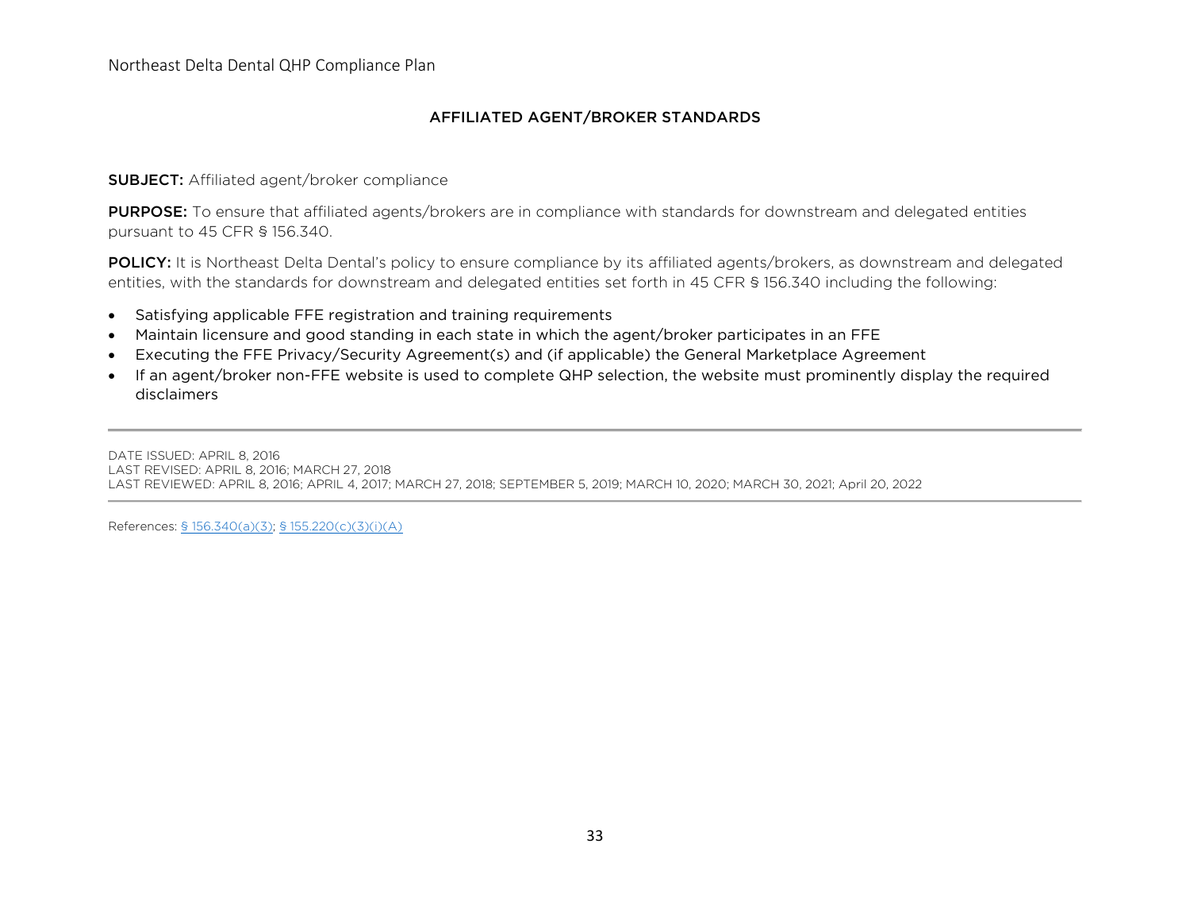## AFFILIATED AGENT/BROKER STANDARDS

## SUBJECT: Affiliated agent/broker compliance

PURPOSE: To ensure that affiliated agents/brokers are in compliance with standards for downstream and delegated entities pursuant to 45 CFR § 156.340.

POLICY: It is Northeast Delta Dental's policy to ensure compliance by its affiliated agents/brokers, as downstream and delegated entities, with the standards for downstream and delegated entities set forth in 45 CFR § 156.340 including the following:

- Satisfying applicable FFE registration and training requirements
- Maintain licensure and good standing in each state in which the agent/broker participates in an FFE
- Executing the FFE Privacy/Security Agreement(s) and (if applicable) the General Marketplace Agreement
- If an agent/broker non-FFE website is used to complete QHP selection, the website must prominently display the required disclaimers

DATE ISSUED: APRIL 8, 2016 LAST REVISED: APRIL 8, 2016; MARCH 27, 2018 LAST REVIEWED: APRIL 8, 2016; APRIL 4, 2017; MARCH 27, 2018; SEPTEMBER 5, 2019; MARCH 10, 2020; MARCH 30, 2021; April 20, 2022

References: [§ 156.340\(a\)\(3\);](https://www.law.cornell.edu/cfr/text/45/156.340) § [155.220\(](https://www.law.cornell.edu/cfr/text/45/155.220)c)(3)(i)(A)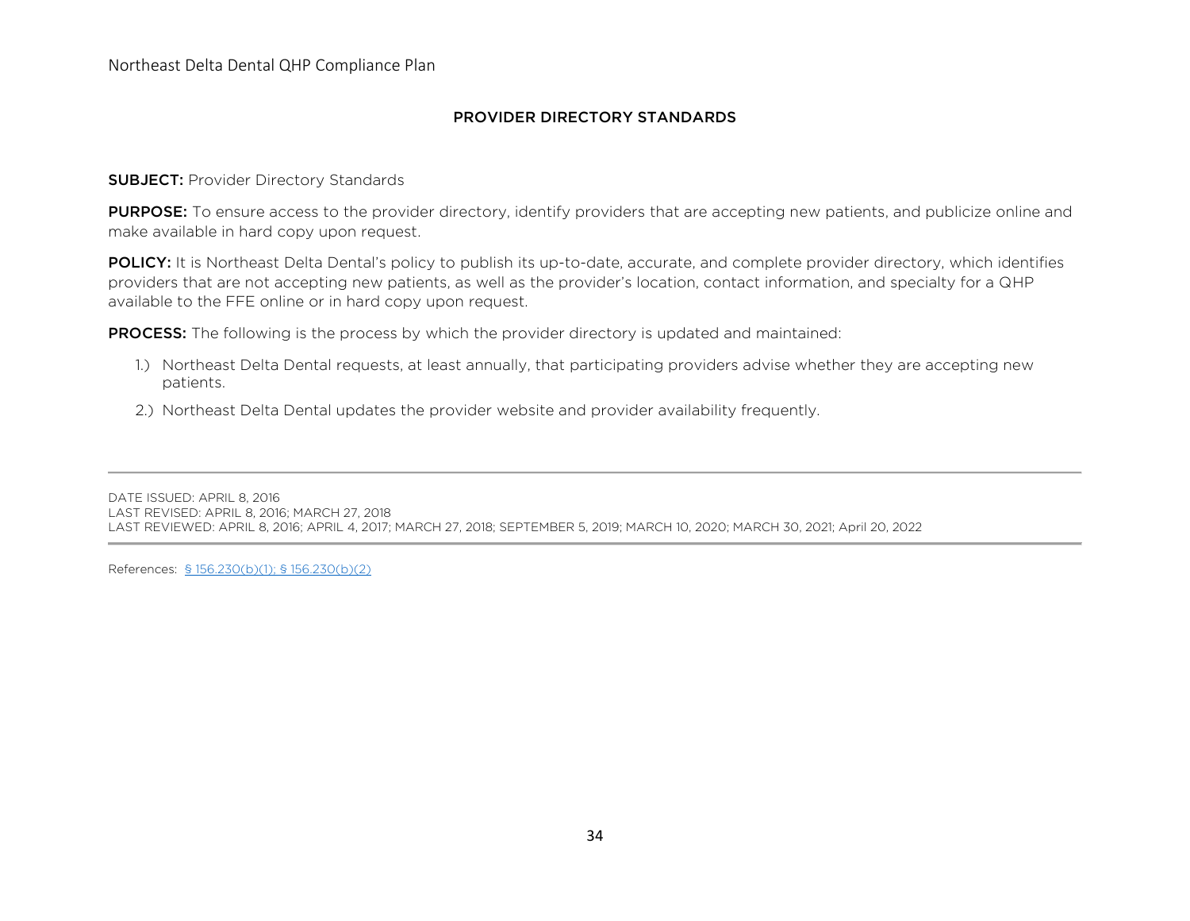### PROVIDER DIRECTORY STANDARDS

#### **SUBJECT: Provider Directory Standards**

PURPOSE: To ensure access to the provider directory, identify providers that are accepting new patients, and publicize online and make available in hard copy upon request.

POLICY: It is Northeast Delta Dental's policy to publish its up-to-date, accurate, and complete provider directory, which identifies providers that are not accepting new patients, as well as the provider's location, contact information, and specialty for a QHP available to the FFE online or in hard copy upon request.

**PROCESS:** The following is the process by which the provider directory is updated and maintained:

- 1.) Northeast Delta Dental requests, at least annually, that participating providers advise whether they are accepting new patients.
- 2.) Northeast Delta Dental updates the provider website and provider availability frequently.

DATE ISSUED: APRIL 8, 2016 LAST REVISED: APRIL 8, 2016; MARCH 27, 2018 LAST REVIEWED: APRIL 8, 2016; APRIL 4, 2017; MARCH 27, 2018; SEPTEMBER 5, 2019; MARCH 10, 2020; MARCH 30, 2021; April 20, 2022

References: [§ 156.230\(b\)\(](https://www.law.cornell.edu/cfr/text/45/156.230)1); § 156.230(b)(2)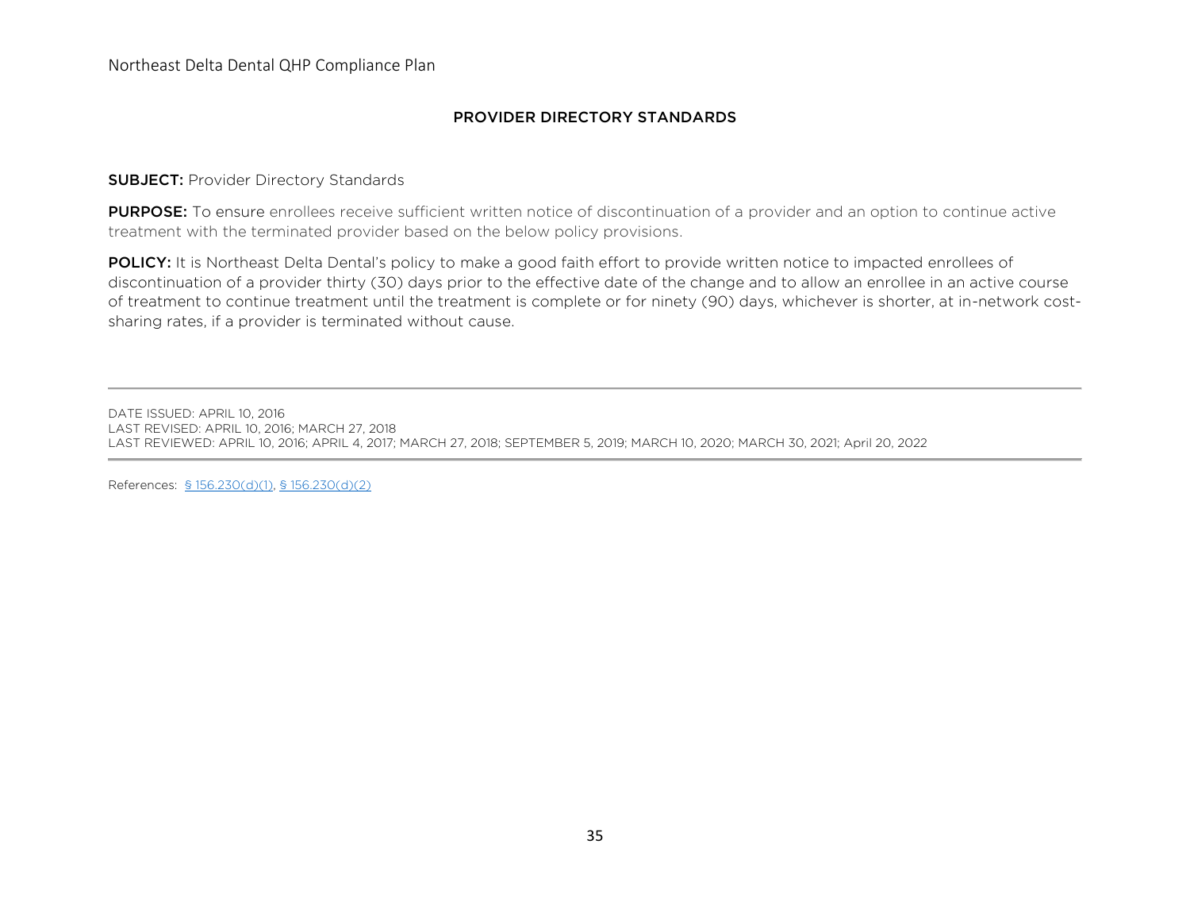## PROVIDER DIRECTORY STANDARDS

## **SUBJECT: Provider Directory Standards**

PURPOSE: To ensure enrollees receive sufficient written notice of discontinuation of a provider and an option to continue active treatment with the terminated provider based on the below policy provisions.

POLICY: It is Northeast Delta Dental's policy to make a good faith effort to provide written notice to impacted enrollees of discontinuation of a provider thirty (30) days prior to the effective date of the change and to allow an enrollee in an active course of treatment to continue treatment until the treatment is complete or for ninety (90) days, whichever is shorter, at in-network costsharing rates, if a provider is terminated without cause.

DATE ISSUED: APRIL 10, 2016 LAST REVISED: APRIL 10, 2016; MARCH 27, 2018 LAST REVIEWED: APRIL 10, 2016; APRIL 4, 2017; MARCH 27, 2018; SEPTEMBER 5, 2019; MARCH 10, 2020; MARCH 30, 2021; April 20, 2022

References: [§ 156.230\(d\)\(](https://www.law.cornell.edu/cfr/text/45/156.235)1), [§ 156.230\(d\)\(](https://www.law.cornell.edu/cfr/text/45/156.235)2)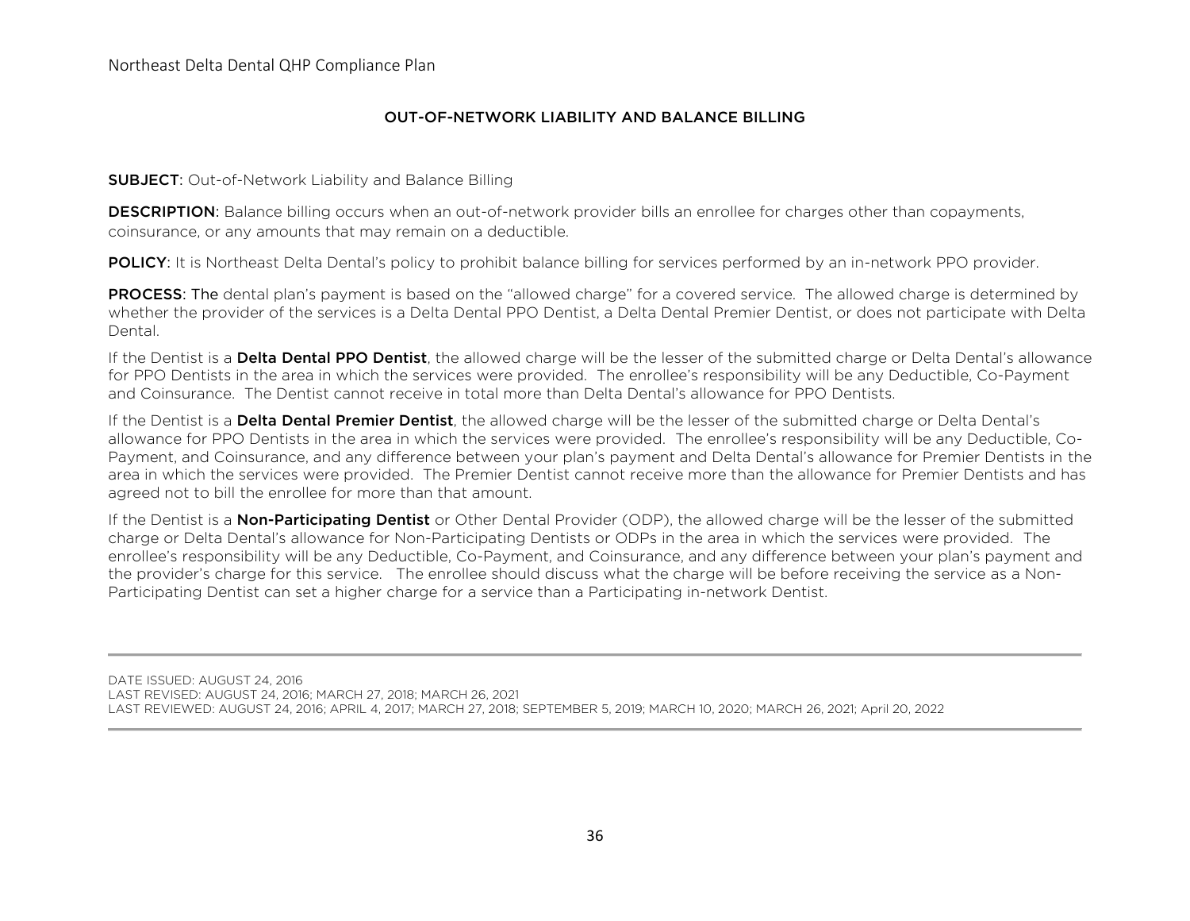### OUT-OF-NETWORK LIABILITY AND BALANCE BILLING

**SUBJECT:** Out-of-Network Liability and Balance Billing

**DESCRIPTION:** Balance billing occurs when an out-of-network provider bills an enrollee for charges other than copayments, coinsurance, or any amounts that may remain on a deductible.

POLICY: It is Northeast Delta Dental's policy to prohibit balance billing for services performed by an in-network PPO provider.

PROCESS: The dental plan's payment is based on the "allowed charge" for a covered service. The allowed charge is determined by whether the provider of the services is a Delta Dental PPO Dentist, a Delta Dental Premier Dentist, or does not participate with Delta Dental.

If the Dentist is a Delta Dental PPO Dentist, the allowed charge will be the lesser of the submitted charge or Delta Dental's allowance for PPO Dentists in the area in which the services were provided. The enrollee's responsibility will be any Deductible, Co-Payment and Coinsurance. The Dentist cannot receive in total more than Delta Dental's allowance for PPO Dentists.

If the Dentist is a Delta Dental Premier Dentist, the allowed charge will be the lesser of the submitted charge or Delta Dental's allowance for PPO Dentists in the area in which the services were provided. The enrollee's responsibility will be any Deductible, Co-Payment, and Coinsurance, and any difference between your plan's payment and Delta Dental's allowance for Premier Dentists in the area in which the services were provided. The Premier Dentist cannot receive more than the allowance for Premier Dentists and has agreed not to bill the enrollee for more than that amount.

If the Dentist is a **Non-Participating Dentist** or Other Dental Provider (ODP), the allowed charge will be the lesser of the submitted charge or Delta Dental's allowance for Non-Participating Dentists or ODPs in the area in which the services were provided. The enrollee's responsibility will be any Deductible, Co-Payment, and Coinsurance, and any difference between your plan's payment and the provider's charge for this service. The enrollee should discuss what the charge will be before receiving the service as a Non-Participating Dentist can set a higher charge for a service than a Participating in-network Dentist.

DATE ISSUED: AUGUST 24, 2016 LAST REVISED: AUGUST 24, 2016; MARCH 27, 2018; MARCH 26, 2021 LAST REVIEWED: AUGUST 24, 2016; APRIL 4, 2017; MARCH 27, 2018; SEPTEMBER 5, 2019; MARCH 10, 2020; MARCH 26, 2021; April 20, 2022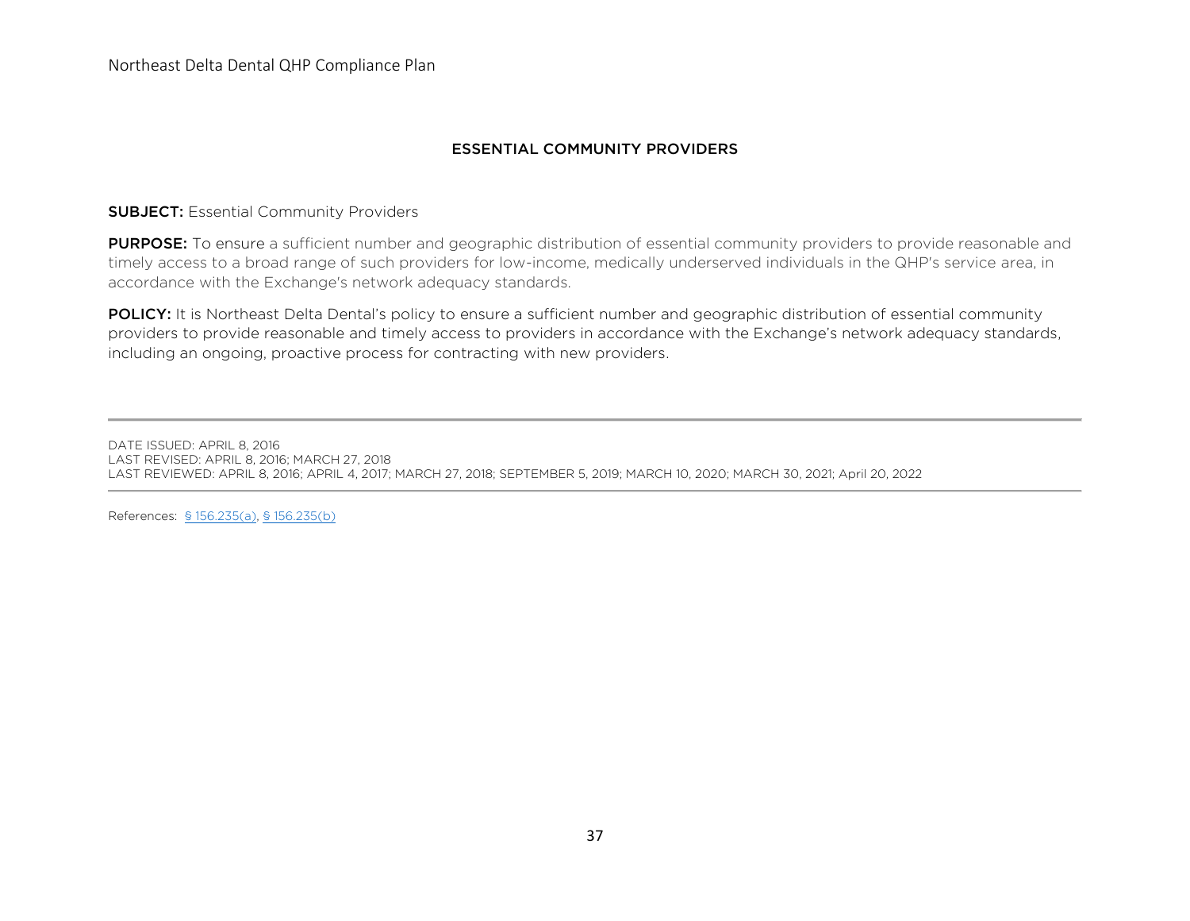Northeast Delta Dental QHP Compliance Plan

## ESSENTIAL COMMUNITY PROVIDERS

#### **SUBJECT: Essential Community Providers**

PURPOSE: To ensure a sufficient number and geographic distribution of essential community providers to provide reasonable and timely access to a broad range of such providers for low-income, medically underserved individuals in the QHP's service area, in accordance with the Exchange's network adequacy standards.

POLICY: It is Northeast Delta Dental's policy to ensure a sufficient number and geographic distribution of essential community providers to provide reasonable and timely access to providers in accordance with the Exchange's network adequacy standards, including an ongoing, proactive process for contracting with new providers.

DATE ISSUED: APRIL 8, 2016 LAST REVISED: APRIL 8, 2016; MARCH 27, 2018 LAST REVIEWED: APRIL 8, 2016; APRIL 4, 2017; MARCH 27, 2018; SEPTEMBER 5, 2019; MARCH 10, 2020; MARCH 30, 2021; April 20, 2022

References: [§ 156.235\(a\),](https://www.law.cornell.edu/cfr/text/45/156.235) [§ 156.235\(b\)](https://www.law.cornell.edu/cfr/text/45/156.235)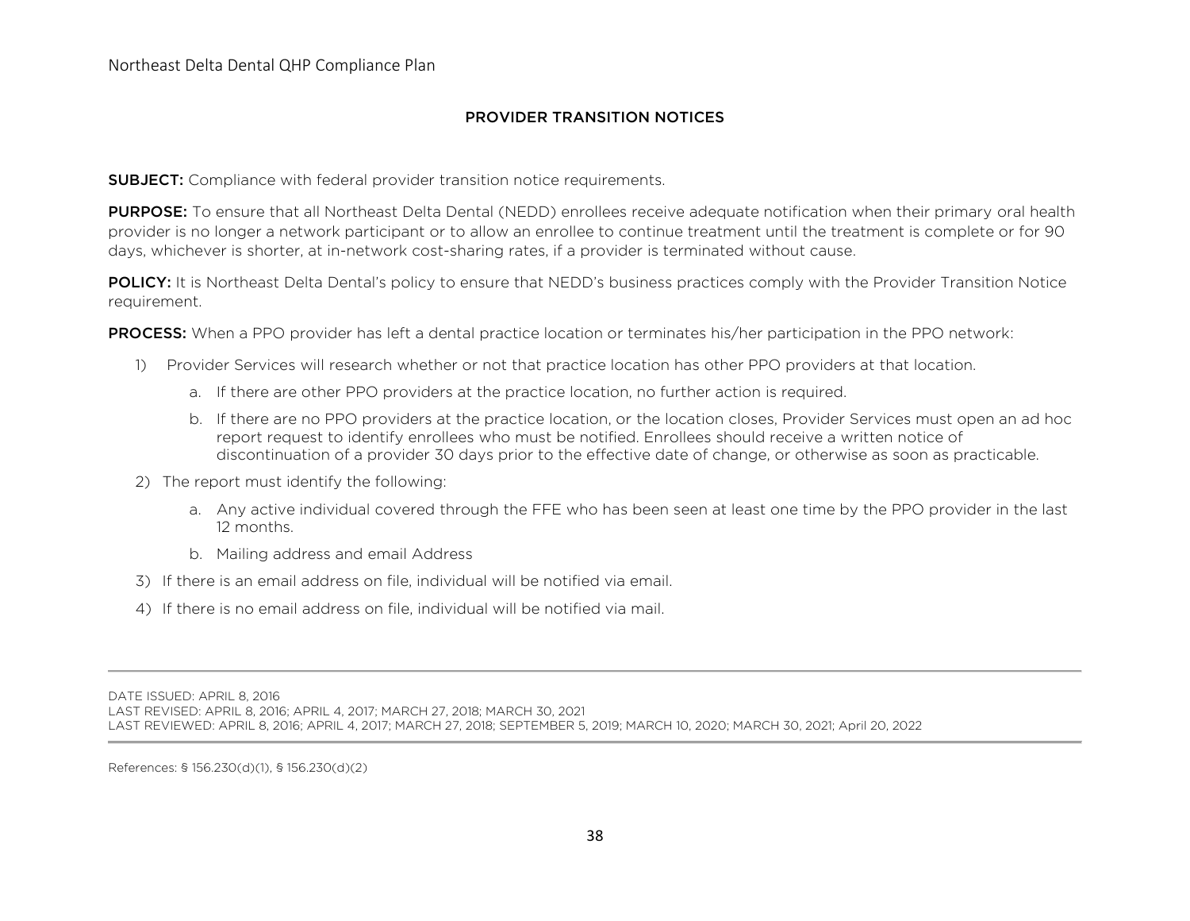## PROVIDER TRANSITION NOTICES

**SUBJECT:** Compliance with federal provider transition notice requirements.

**PURPOSE:** To ensure that all Northeast Delta Dental (NEDD) enrollees receive adequate notification when their primary oral health provider is no longer a network participant or to allow an enrollee to continue treatment until the treatment is complete or for 90 days, whichever is shorter, at in-network cost-sharing rates, if a provider is terminated without cause.

POLICY: It is Northeast Delta Dental's policy to ensure that NEDD's business practices comply with the Provider Transition Notice requirement.

PROCESS: When a PPO provider has left a dental practice location or terminates his/her participation in the PPO network:

- 1) Provider Services will research whether or not that practice location has other PPO providers at that location.
	- a. If there are other PPO providers at the practice location, no further action is required.
	- b. If there are no PPO providers at the practice location, or the location closes, Provider Services must open an ad hoc report request to identify enrollees who must be notified. Enrollees should receive a written notice of discontinuation of a provider 30 days prior to the effective date of change, or otherwise as soon as practicable.
- 2) The report must identify the following:
	- a. Any active individual covered through the FFE who has been seen at least one time by the PPO provider in the last 12 months.
	- b. Mailing address and email Address
- 3) If there is an email address on file, individual will be notified via email.
- 4) If there is no email address on file, individual will be notified via mail.

DATE ISSUED: APRIL 8, 2016

LAST REVISED: APRIL 8, 2016; APRIL 4, 2017; MARCH 27, 2018; MARCH 30, 2021

LAST REVIEWED: APRIL 8, 2016; APRIL 4, 2017; MARCH 27, 2018; SEPTEMBER 5, 2019; MARCH 10, 2020; MARCH 30, 2021; April 20, 2022

References: § 156.230(d)(1), § 156.230(d)(2)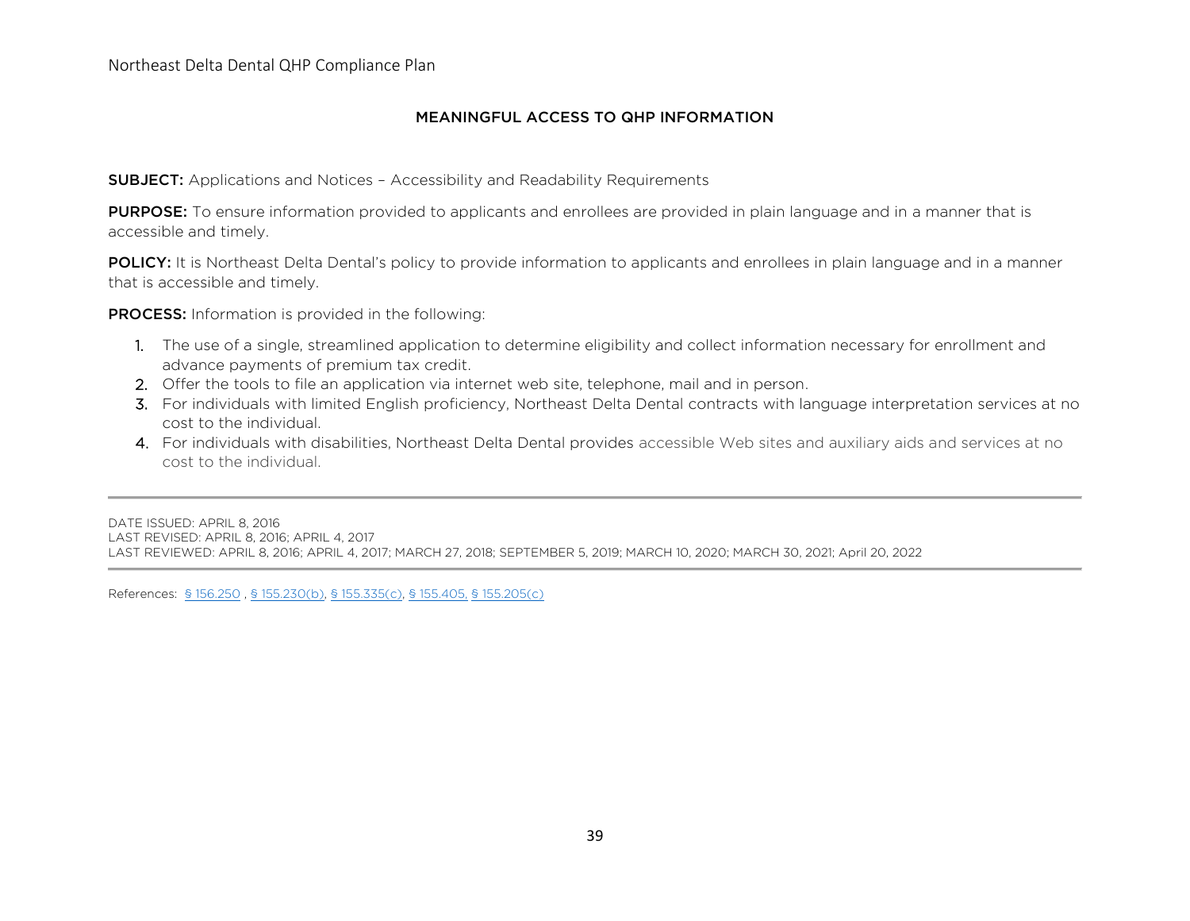### MEANINGFUL ACCESS TO QHP INFORMATION

SUBJECT: Applications and Notices – Accessibility and Readability Requirements

**PURPOSE:** To ensure information provided to applicants and enrollees are provided in plain language and in a manner that is accessible and timely.

POLICY: It is Northeast Delta Dental's policy to provide information to applicants and enrollees in plain language and in a manner that is accessible and timely.

PROCESS: Information is provided in the following:

- 1. The use of a single, streamlined application to determine eligibility and collect information necessary for enrollment and advance payments of premium tax credit.
- 2. Offer the tools to file an application via internet web site, telephone, mail and in person.
- 3. For individuals with limited English proficiency, Northeast Delta Dental contracts with language interpretation services at no cost to the individual.
- 4. For individuals with disabilities, Northeast Delta Dental provides accessible Web sites and auxiliary aids and services at no cost to the individual.

DATE ISSUED: APRIL 8, 2016 LAST REVISED: APRIL 8, 2016; APRIL 4, 2017 LAST REVIEWED: APRIL 8, 2016; APRIL 4, 2017; MARCH 27, 2018; SEPTEMBER 5, 2019; MARCH 10, 2020; MARCH 30, 2021; April 20, 2022

References: [§ 156.250](https://www.law.cornell.edu/cfr/text/45/156.250) [, § 155.230\(b\),](https://www.law.cornell.edu/cfr/text/45/155.230#b) [§ 155.335\(c\),](https://www.law.cornell.edu/cfr/text/45/155.335) [§ 155.405,](https://www.law.cornell.edu/cfr/text/45/155.405) [§ 155.205\(c\)](https://www.law.cornell.edu/cfr/text/45/155.205)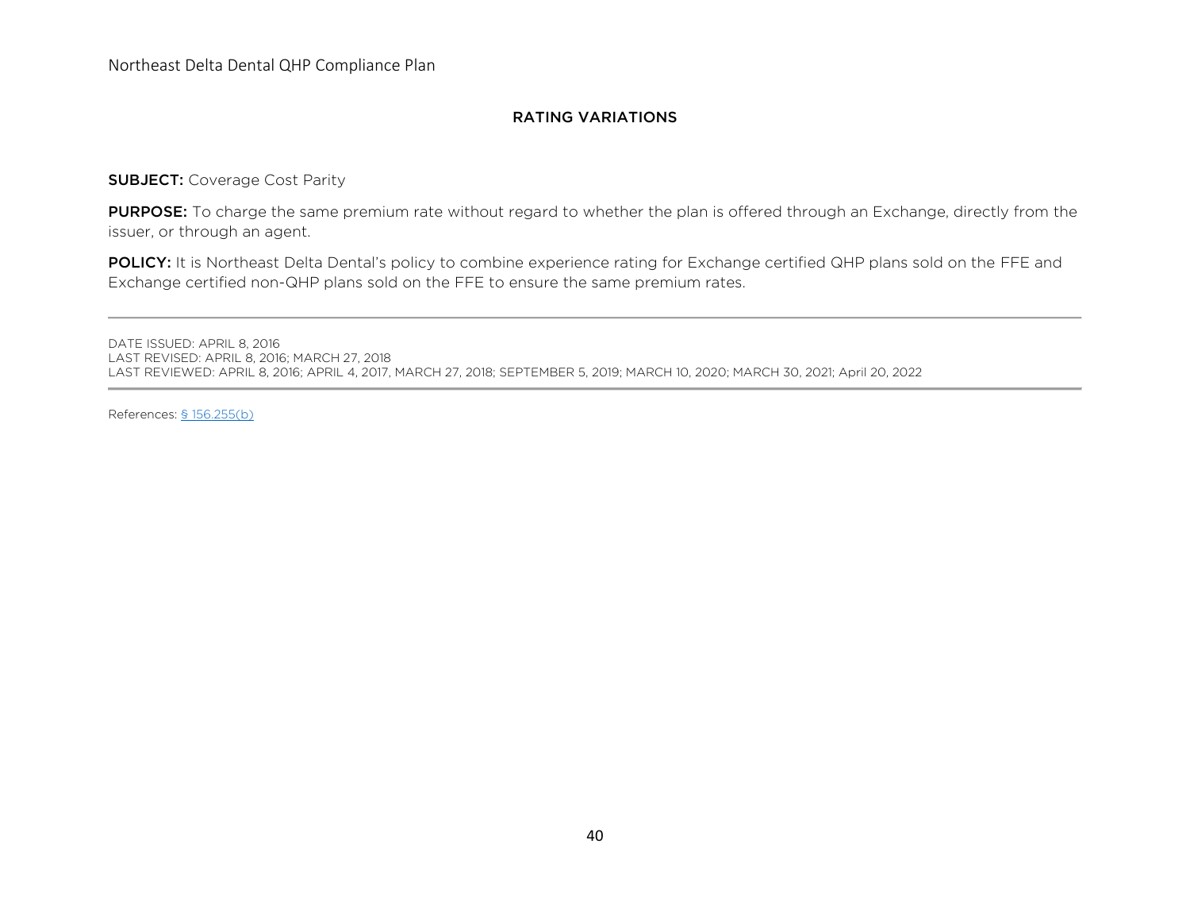### RATING VARIATIONS

SUBJECT: Coverage Cost Parity

PURPOSE: To charge the same premium rate without regard to whether the plan is offered through an Exchange, directly from the issuer, or through an agent.

POLICY: It is Northeast Delta Dental's policy to combine experience rating for Exchange certified QHP plans sold on the FFE and Exchange certified non-QHP plans sold on the FFE to ensure the same premium rates.

DATE ISSUED: APRIL 8, 2016 LAST REVISED: APRIL 8, 2016; MARCH 27, 2018 LAST REVIEWED: APRIL 8, 2016; APRIL 4, 2017, MARCH 27, 2018; SEPTEMBER 5, 2019; MARCH 10, 2020; MARCH 30, 2021; April 20, 2022

References: [§ 156.255\(b\)](https://www.law.cornell.edu/cfr/text/45/156.255)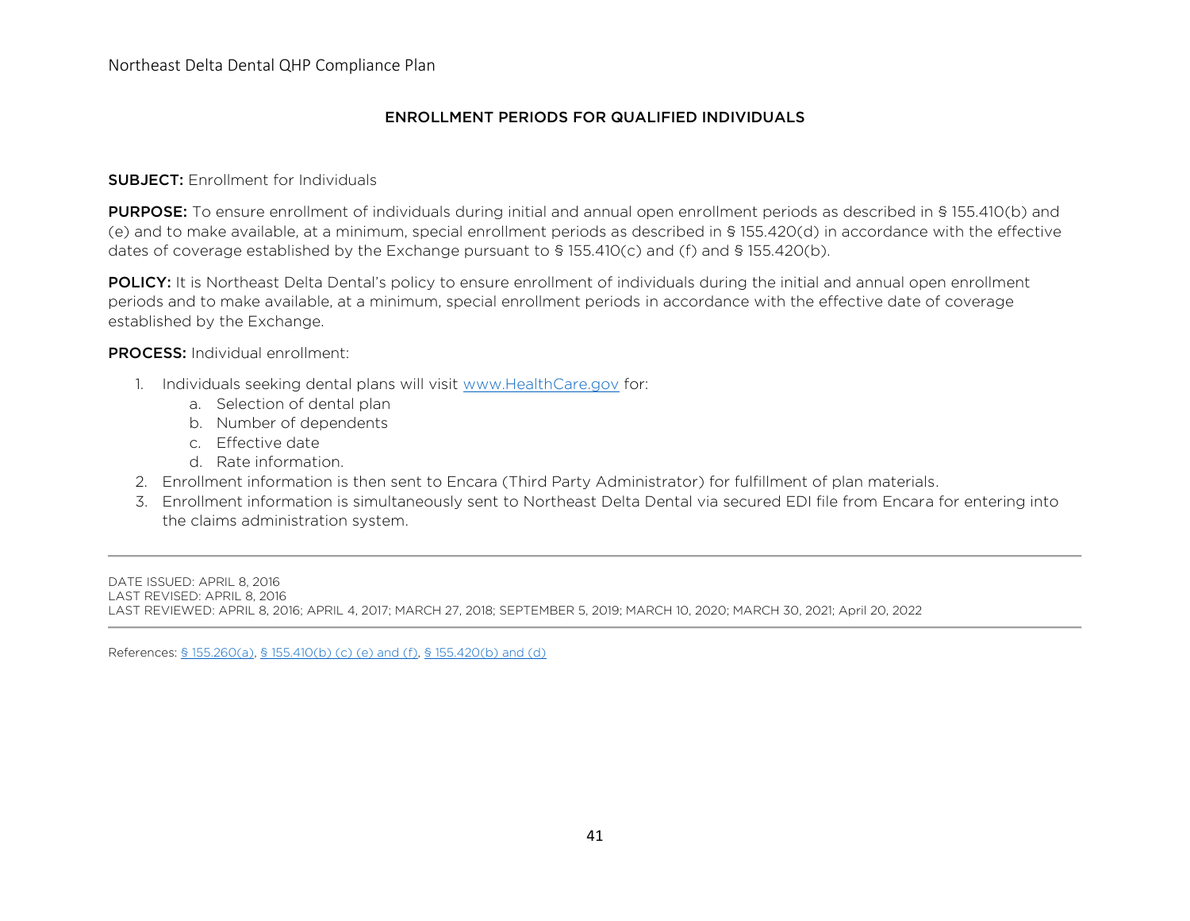## ENROLLMENT PERIODS FOR QUALIFIED INDIVIDUALS

#### **SUBJECT: Enrollment for Individuals**

PURPOSE: To ensure enrollment of individuals during initial and annual open enrollment periods as described in § 155.410(b) and (e) and to make available, at a minimum, special enrollment periods as described in § 155.420(d) in accordance with the effective dates of coverage established by the Exchange pursuant to § 155.410(c) and (f) and § 155.420(b).

POLICY: It is Northeast Delta Dental's policy to ensure enrollment of individuals during the initial and annual open enrollment periods and to make available, at a minimum, special enrollment periods in accordance with the effective date of coverage established by the Exchange.

PROCESS: Individual enrollment:

- 1. Individuals seeking dental plans will visit [www.HealthCare.gov](http://www.healthcare.gov/) for:
	- a. Selection of dental plan
	- b. Number of dependents
	- c. Effective date
	- d. Rate information.
- 2. Enrollment information is then sent to Encara (Third Party Administrator) for fulfillment of plan materials.
- 3. Enrollment information is simultaneously sent to Northeast Delta Dental via secured EDI file from Encara for entering into the claims administration system.

DATE ISSUED: APRIL 8, 2016 LAST REVISED: APRIL 8, 2016 LAST REVIEWED: APRIL 8, 2016; APRIL 4, 2017; MARCH 27, 2018; SEPTEMBER 5, 2019; MARCH 10, 2020; MARCH 30, 2021; April 20, 2022

References: [§ 155.260\(a\),](https://www.law.cornell.edu/cfr/text/45/156.260) [§ 155.410\(b\) \(c\) \(e\) and \(f\),](https://www.law.cornell.edu/cfr/text/45/155.410) [§ 155.420\(b\) and \(d\)](https://www.law.cornell.edu/cfr/text/45/155.420)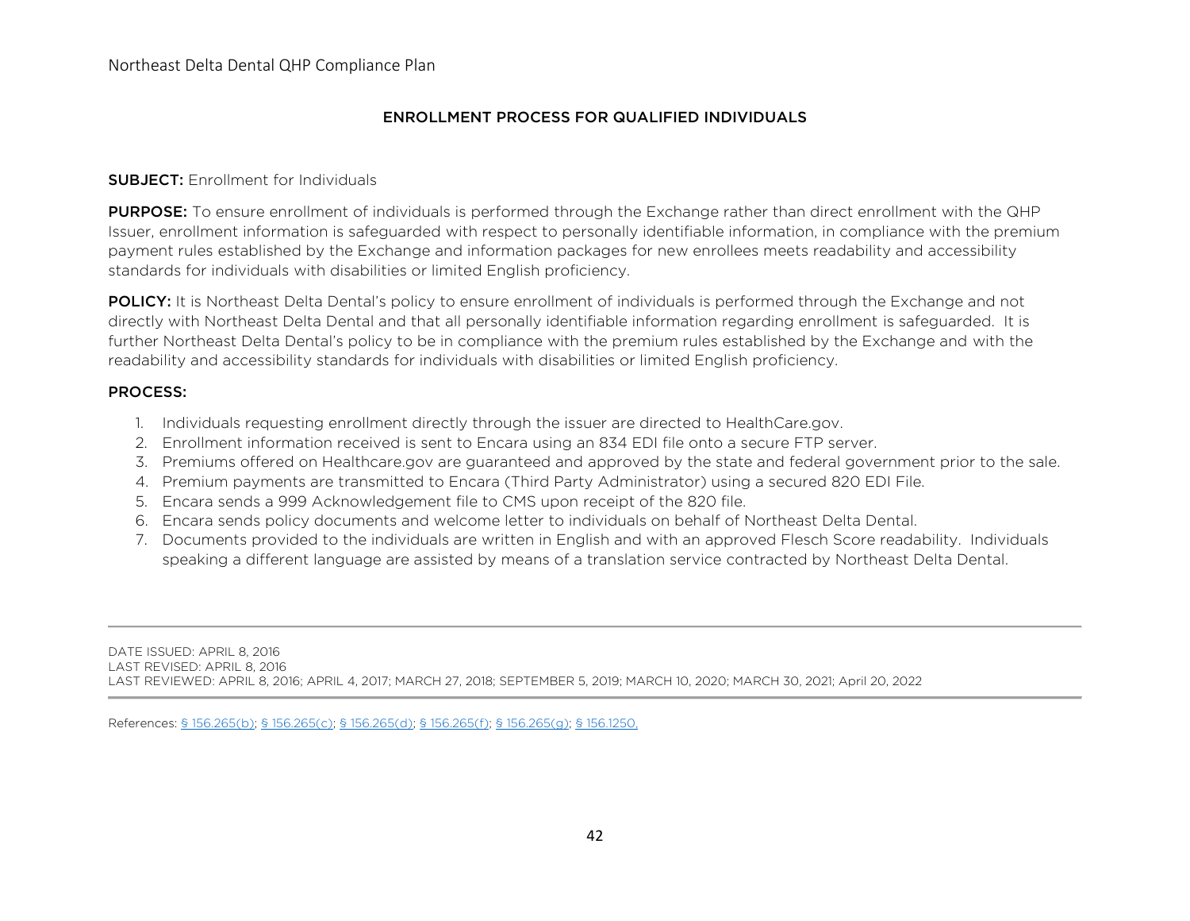## ENROLLMENT PROCESS FOR QUALIFIED INDIVIDUALS

#### **SUBJECT: Enrollment for Individuals**

PURPOSE: To ensure enrollment of individuals is performed through the Exchange rather than direct enrollment with the QHP Issuer, enrollment information is safeguarded with respect to personally identifiable information, in compliance with the premium payment rules established by the Exchange and information packages for new enrollees meets readability and accessibility standards for individuals with disabilities or limited English proficiency.

POLICY: It is Northeast Delta Dental's policy to ensure enrollment of individuals is performed through the Exchange and not directly with Northeast Delta Dental and that all personally identifiable information regarding enrollment is safeguarded. It is further Northeast Delta Dental's policy to be in compliance with the premium rules established by the Exchange and with the readability and accessibility standards for individuals with disabilities or limited English proficiency.

#### PROCESS:

- 1. Individuals requesting enrollment directly through the issuer are directed to HealthCare.gov.
- 2. Enrollment information received is sent to Encara using an 834 EDI file onto a secure FTP server.
- 3. Premiums offered on Healthcare.gov are guaranteed and approved by the state and federal government prior to the sale.
- 4. Premium payments are transmitted to Encara (Third Party Administrator) using a secured 820 EDI File.
- 5. Encara sends a 999 Acknowledgement file to CMS upon receipt of the 820 file.
- 6. Encara sends policy documents and welcome letter to individuals on behalf of Northeast Delta Dental.
- 7. Documents provided to the individuals are written in English and with an approved Flesch Score readability. Individuals speaking a different language are assisted by means of a translation service contracted by Northeast Delta Dental.

DATE ISSUED: APRIL 8, 2016 LAST REVISED: APRIL 8, 2016 LAST REVIEWED: APRIL 8, 2016; APRIL 4, 2017; MARCH 27, 2018; SEPTEMBER 5, 2019; MARCH 10, 2020; MARCH 30, 2021; April 20, 2022

References: [§ 156.265\(b\); § 156.265\(c\); § 156.265\(d\); § 156.265\(f\); § 156.265\(g\);](https://www.law.cornell.edu/cfr/text/45/156.265) [§ 156.1250,](https://www.law.cornell.edu/cfr/text/45/156.1250)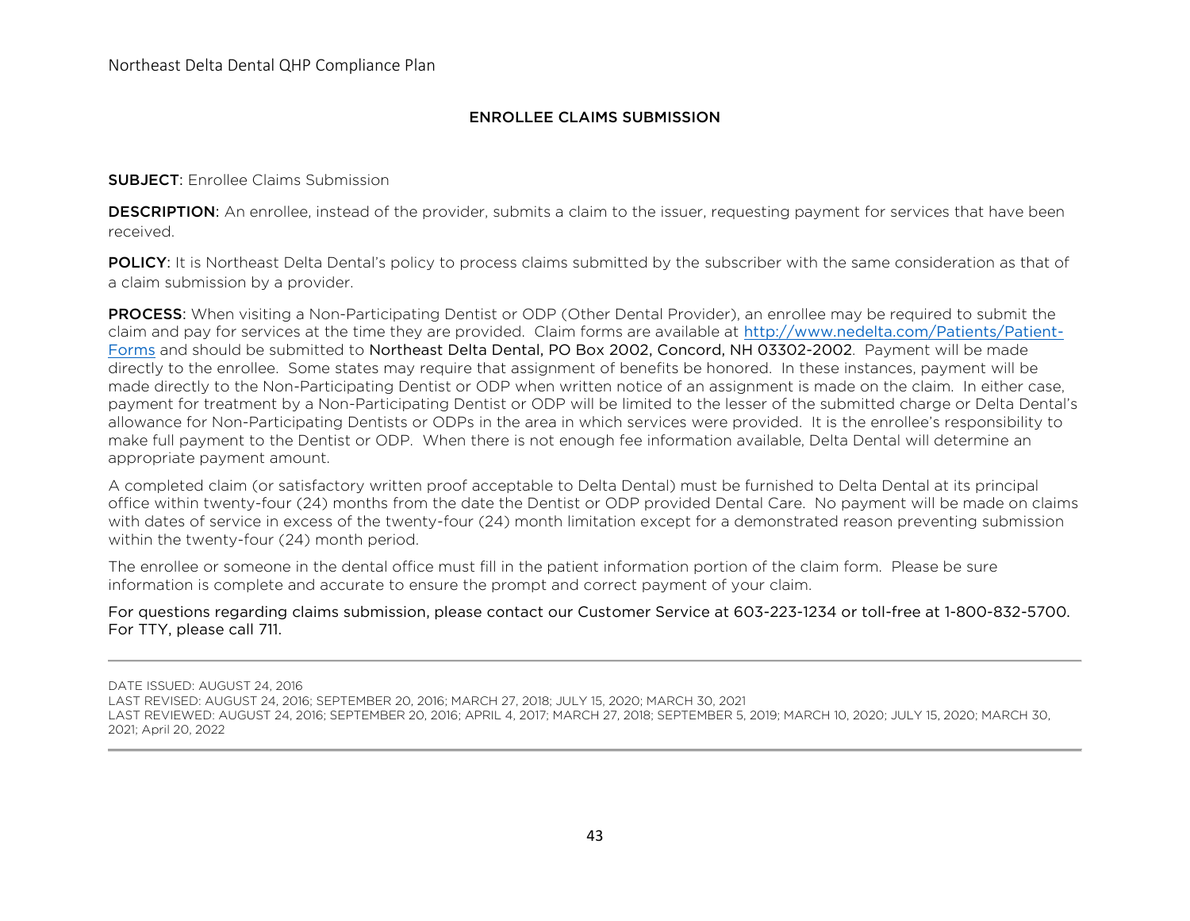## ENROLLEE CLAIMS SUBMISSION

#### SUBJECT: Enrollee Claims Submission

**DESCRIPTION:** An enrollee, instead of the provider, submits a claim to the issuer, requesting payment for services that have been received.

POLICY: It is Northeast Delta Dental's policy to process claims submitted by the subscriber with the same consideration as that of a claim submission by a provider.

PROCESS: When visiting a Non-Participating Dentist or ODP (Other Dental Provider), an enrollee may be required to submit the claim and pay for services at the time they are provided. Claim forms are available at [http://www.nedelta.com/Patients/Patient-](http://www.nedelta.com/Patients/Patient-Forms)[Forms](http://www.nedelta.com/Patients/Patient-Forms) and should be submitted to Northeast Delta Dental, PO Box 2002, Concord, NH 03302-2002. Payment will be made directly to the enrollee. Some states may require that assignment of benefits be honored. In these instances, payment will be made directly to the Non-Participating Dentist or ODP when written notice of an assignment is made on the claim. In either case, payment for treatment by a Non-Participating Dentist or ODP will be limited to the lesser of the submitted charge or Delta Dental's allowance for Non-Participating Dentists or ODPs in the area in which services were provided. It is the enrollee's responsibility to make full payment to the Dentist or ODP. When there is not enough fee information available, Delta Dental will determine an appropriate payment amount.

A completed claim (or satisfactory written proof acceptable to Delta Dental) must be furnished to Delta Dental at its principal office within twenty-four (24) months from the date the Dentist or ODP provided Dental Care. No payment will be made on claims with dates of service in excess of the twenty-four (24) month limitation except for a demonstrated reason preventing submission within the twenty-four (24) month period.

The enrollee or someone in the dental office must fill in the patient information portion of the claim form. Please be sure information is complete and accurate to ensure the prompt and correct payment of your claim.

## For questions regarding claims submission, please contact our Customer Service at 603-223-1234 or toll-free at 1-800-832-5700. For TTY, please call 711.

DATE ISSUED: AUGUST 24, 2016

LAST REVISED: AUGUST 24, 2016; SEPTEMBER 20, 2016; MARCH 27, 2018; JULY 15, 2020; MARCH 30, 2021

LAST REVIEWED: AUGUST 24, 2016; SEPTEMBER 20, 2016; APRIL 4, 2017; MARCH 27, 2018; SEPTEMBER 5, 2019; MARCH 10, 2020; JULY 15, 2020; MARCH 30, 2021; April 20, 2022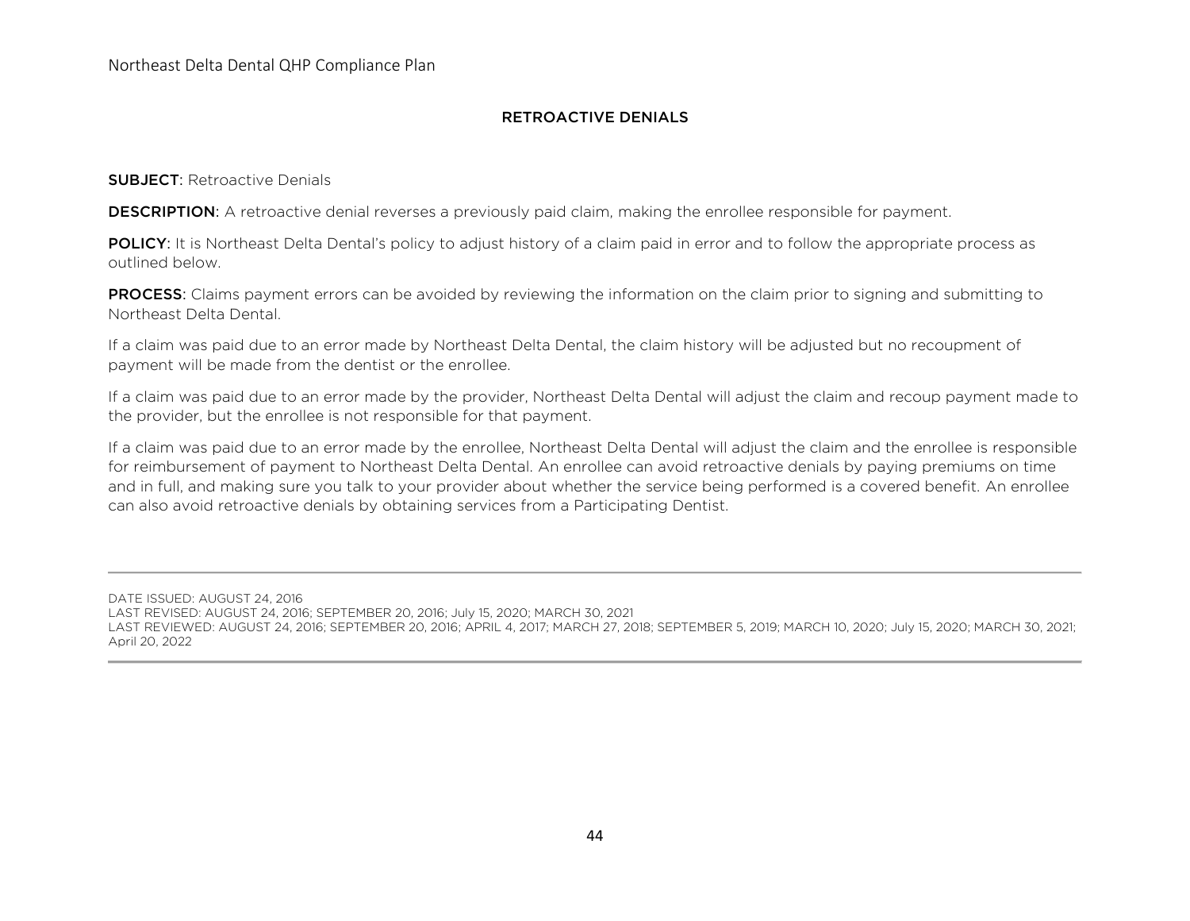## RETROACTIVE DENIALS

SUBJECT: Retroactive Denials

**DESCRIPTION:** A retroactive denial reverses a previously paid claim, making the enrollee responsible for payment.

POLICY: It is Northeast Delta Dental's policy to adjust history of a claim paid in error and to follow the appropriate process as outlined below.

PROCESS: Claims payment errors can be avoided by reviewing the information on the claim prior to signing and submitting to Northeast Delta Dental.

If a claim was paid due to an error made by Northeast Delta Dental, the claim history will be adjusted but no recoupment of payment will be made from the dentist or the enrollee.

If a claim was paid due to an error made by the provider, Northeast Delta Dental will adjust the claim and recoup payment made to the provider, but the enrollee is not responsible for that payment.

If a claim was paid due to an error made by the enrollee, Northeast Delta Dental will adjust the claim and the enrollee is responsible for reimbursement of payment to Northeast Delta Dental. An enrollee can avoid retroactive denials by paying premiums on time and in full, and making sure you talk to your provider about whether the service being performed is a covered benefit. An enrollee can also avoid retroactive denials by obtaining services from a Participating Dentist.

DATE ISSUED: AUGUST 24, 2016 LAST REVISED: AUGUST 24, 2016; SEPTEMBER 20, 2016; July 15, 2020; MARCH 30, 2021 LAST REVIEWED: AUGUST 24, 2016; SEPTEMBER 20, 2016; APRIL 4, 2017; MARCH 27, 2018; SEPTEMBER 5, 2019; MARCH 10, 2020; July 15, 2020; MARCH 30, 2021; April 20, 2022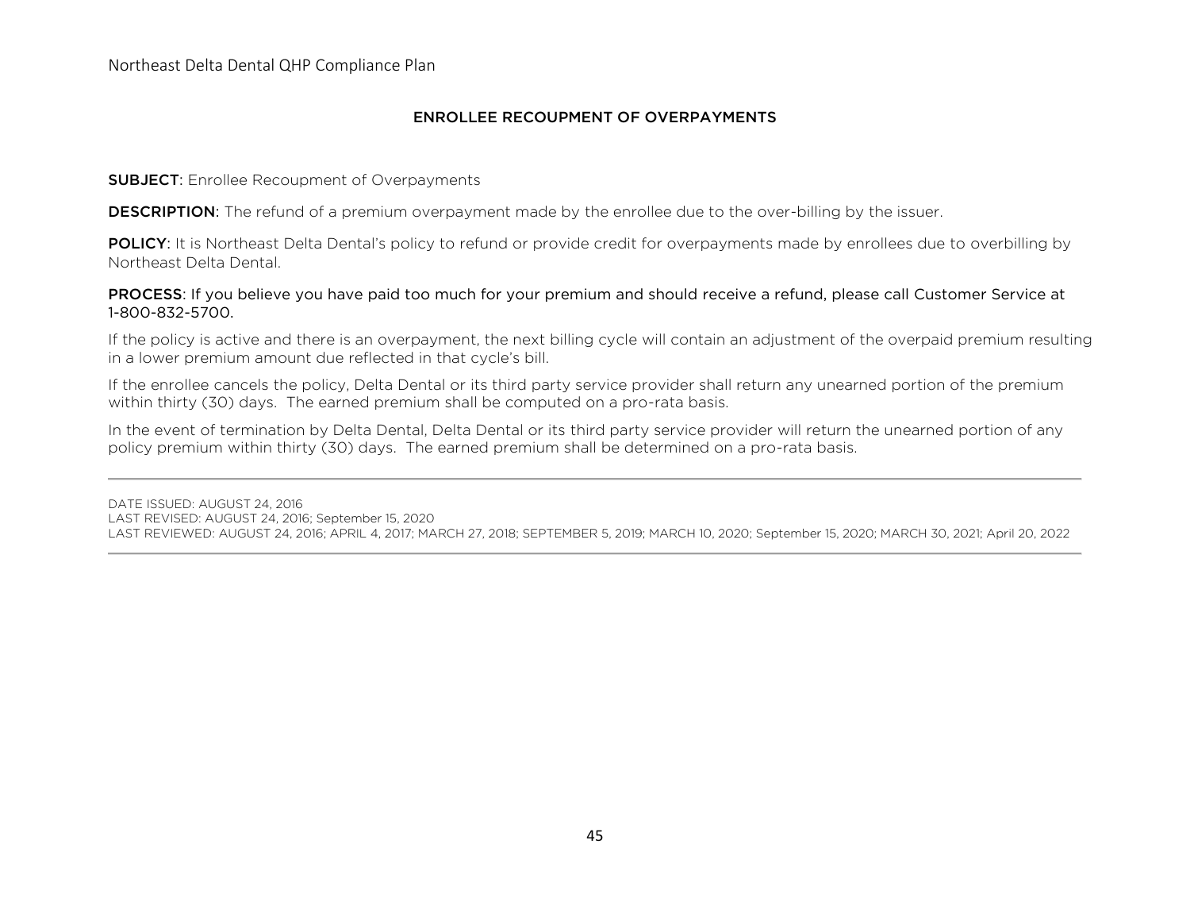## ENROLLEE RECOUPMENT OF OVERPAYMENTS

#### **SUBJECT:** Enrollee Recoupment of Overpayments

**DESCRIPTION:** The refund of a premium overpayment made by the enrollee due to the over-billing by the issuer.

POLICY: It is Northeast Delta Dental's policy to refund or provide credit for overpayments made by enrollees due to overbilling by Northeast Delta Dental.

### PROCESS: If you believe you have paid too much for your premium and should receive a refund, please call Customer Service at 1-800-832-5700.

If the policy is active and there is an overpayment, the next billing cycle will contain an adjustment of the overpaid premium resulting in a lower premium amount due reflected in that cycle's bill.

If the enrollee cancels the policy, Delta Dental or its third party service provider shall return any unearned portion of the premium within thirty (30) days. The earned premium shall be computed on a pro-rata basis.

In the event of termination by Delta Dental, Delta Dental or its third party service provider will return the unearned portion of any policy premium within thirty (30) days. The earned premium shall be determined on a pro-rata basis.

DATE ISSUED: AUGUST 24, 2016 LAST REVISED: AUGUST 24, 2016; September 15, 2020 LAST REVIEWED: AUGUST 24, 2016; APRIL 4, 2017; MARCH 27, 2018; SEPTEMBER 5, 2019; MARCH 10, 2020; September 15, 2020; MARCH 30, 2021; April 20, 2022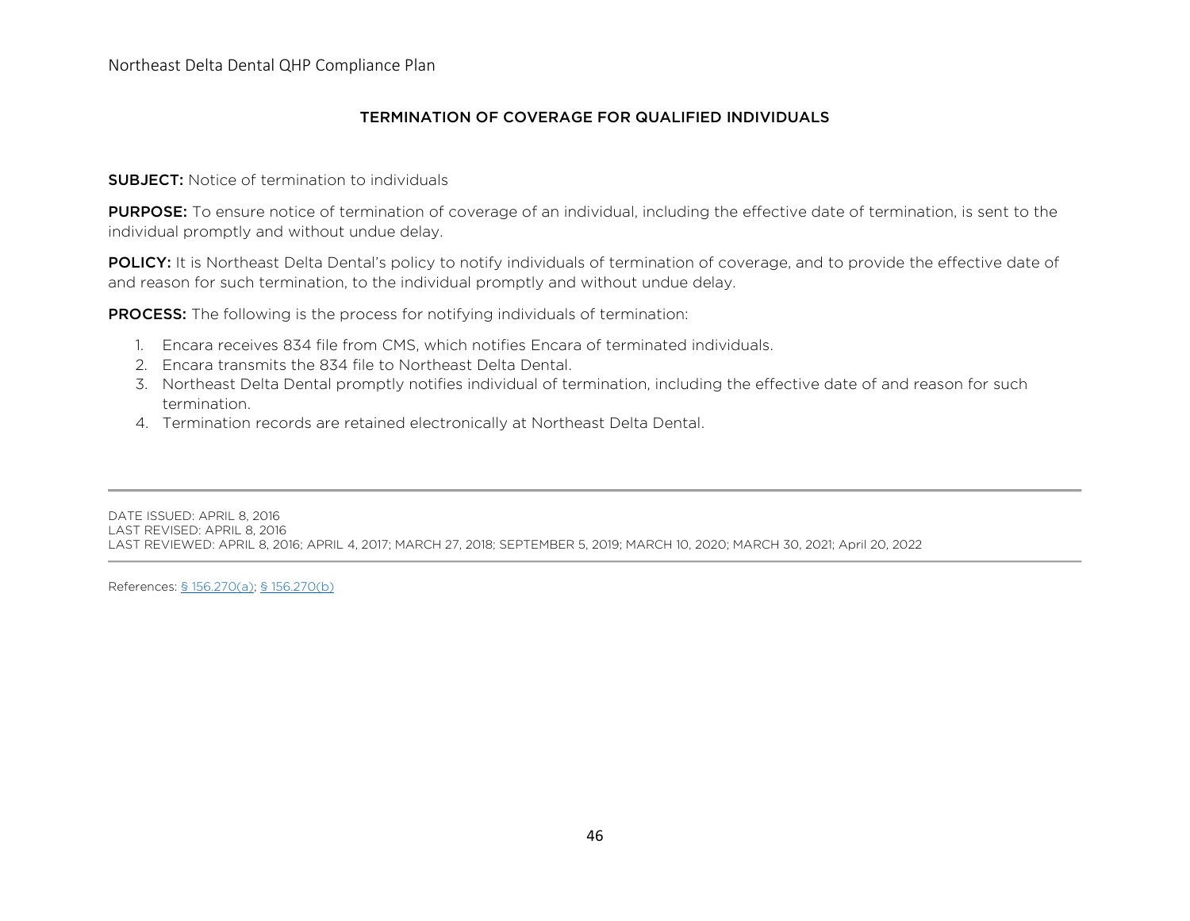## TERMINATION OF COVERAGE FOR QUALIFIED INDIVIDUALS

#### SUBJECT: Notice of termination to individuals

PURPOSE: To ensure notice of termination of coverage of an individual, including the effective date of termination, is sent to the individual promptly and without undue delay.

POLICY: It is Northeast Delta Dental's policy to notify individuals of termination of coverage, and to provide the effective date of and reason for such termination, to the individual promptly and without undue delay.

**PROCESS:** The following is the process for notifying individuals of termination:

- 1. Encara receives 834 file from CMS, which notifies Encara of terminated individuals.
- 2. Encara transmits the 834 file to Northeast Delta Dental.
- 3. Northeast Delta Dental promptly notifies individual of termination, including the effective date of and reason for such termination.
- 4. Termination records are retained electronically at Northeast Delta Dental.

DATE ISSUED: APRIL 8, 2016 LAST REVISED: APRIL 8, 2016 LAST REVIEWED: APRIL 8, 2016; APRIL 4, 2017; MARCH 27, 2018; SEPTEMBER 5, 2019; MARCH 10, 2020; MARCH 30, 2021; April 20, 2022

References: [§ 156.270\(a\); § 156.270\(b\)](https://www.law.cornell.edu/cfr/text/45/156.270)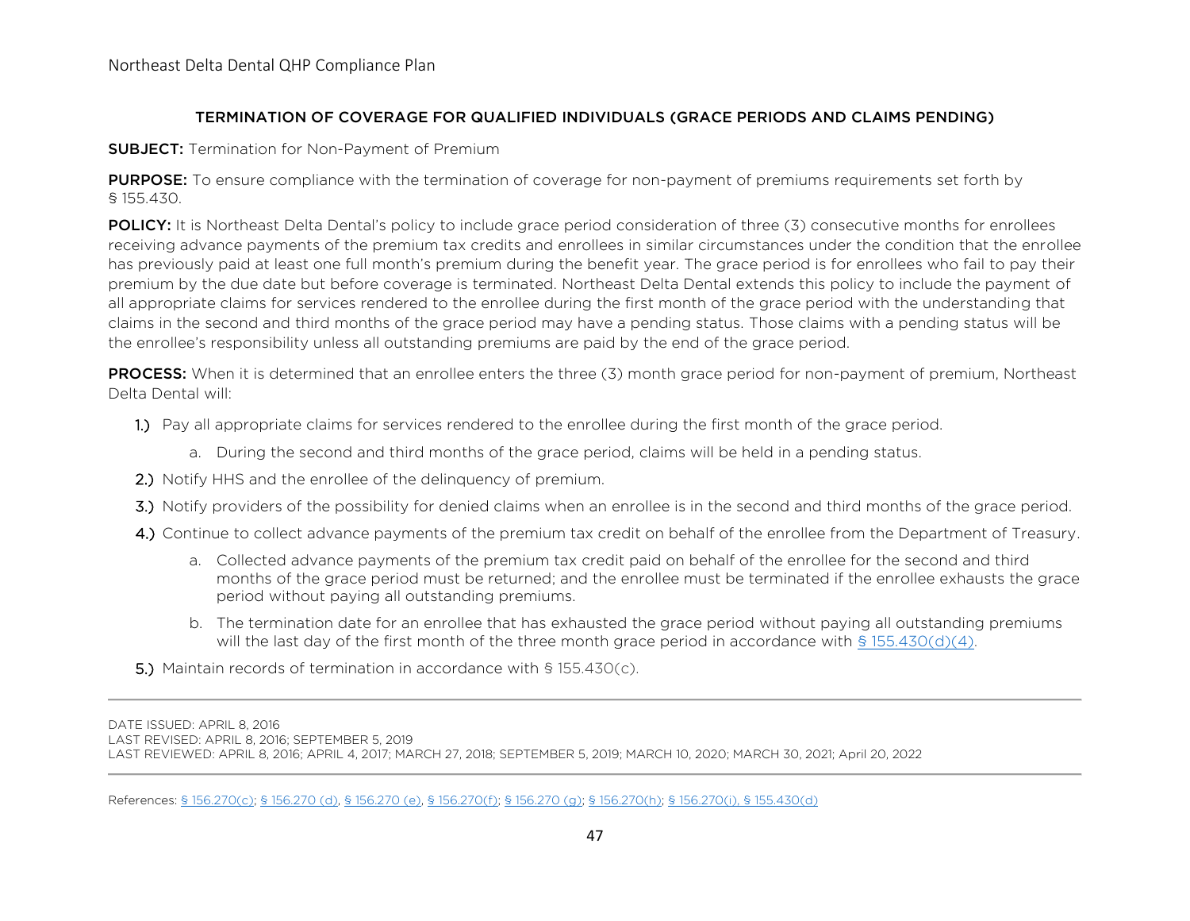## TERMINATION OF COVERAGE FOR QUALIFIED INDIVIDUALS (GRACE PERIODS AND CLAIMS PENDING)

**SUBJECT:** Termination for Non-Payment of Premium

**PURPOSE:** To ensure compliance with the termination of coverage for non-payment of premiums requirements set forth by § 155.430.

**POLICY:** It is Northeast Delta Dental's policy to include grace period consideration of three (3) consecutive months for enrollees receiving advance payments of the premium tax credits and enrollees in similar circumstances under the condition that the enrollee has previously paid at least one full month's premium during the benefit year. The grace period is for enrollees who fail to pay their premium by the due date but before coverage is terminated. Northeast Delta Dental extends this policy to include the payment of all appropriate claims for services rendered to the enrollee during the first month of the grace period with the understanding that claims in the second and third months of the grace period may have a pending status. Those claims with a pending status will be the enrollee's responsibility unless all outstanding premiums are paid by the end of the grace period.

PROCESS: When it is determined that an enrollee enters the three (3) month grace period for non-payment of premium, Northeast Delta Dental will:

1.) Pay all appropriate claims for services rendered to the enrollee during the first month of the grace period.

- a. During the second and third months of the grace period, claims will be held in a pending status.
- 2.) Notify HHS and the enrollee of the delinguency of premium.
- 3.) Notify providers of the possibility for denied claims when an enrollee is in the second and third months of the grace period.
- 4.) Continue to collect advance payments of the premium tax credit on behalf of the enrollee from the Department of Treasury.
	- a. Collected advance payments of the premium tax credit paid on behalf of the enrollee for the second and third months of the grace period must be returned; and the enrollee must be terminated if the enrollee exhausts the grace period without paying all outstanding premiums.
	- b. The termination date for an enrollee that has exhausted the grace period without paying all outstanding premiums will the last day of the first month of the three month grace period in accordance with [§ 155.430\(d\)\(4\).](https://www.law.cornell.edu/cfr/text/45/155.430)

5.) Maintain records of termination in accordance with § 155.430(c).

DATE ISSUED: APRIL 8, 2016 LAST REVISED: APRIL 8, 2016; SEPTEMBER 5, 2019 LAST REVIEWED: APRIL 8, 2016; APRIL 4, 2017; MARCH 27, 2018; SEPTEMBER 5, 2019; MARCH 10, 2020; MARCH 30, 2021; April 20, 2022

References: [§ 156.270\(c\);](https://www.law.cornell.edu/cfr/text/45/156.270) [§ 156.270 \(d\), § 156.270 \(e\), § 156.270\(f\); § 156.270 \(g\); § 156.270\(h\); § 156.270\(i\),](https://www.law.cornell.edu/cfr/text/45/156.270) [§ 155.430\(d\)](https://www.law.cornell.edu/cfr/text/45/155.430)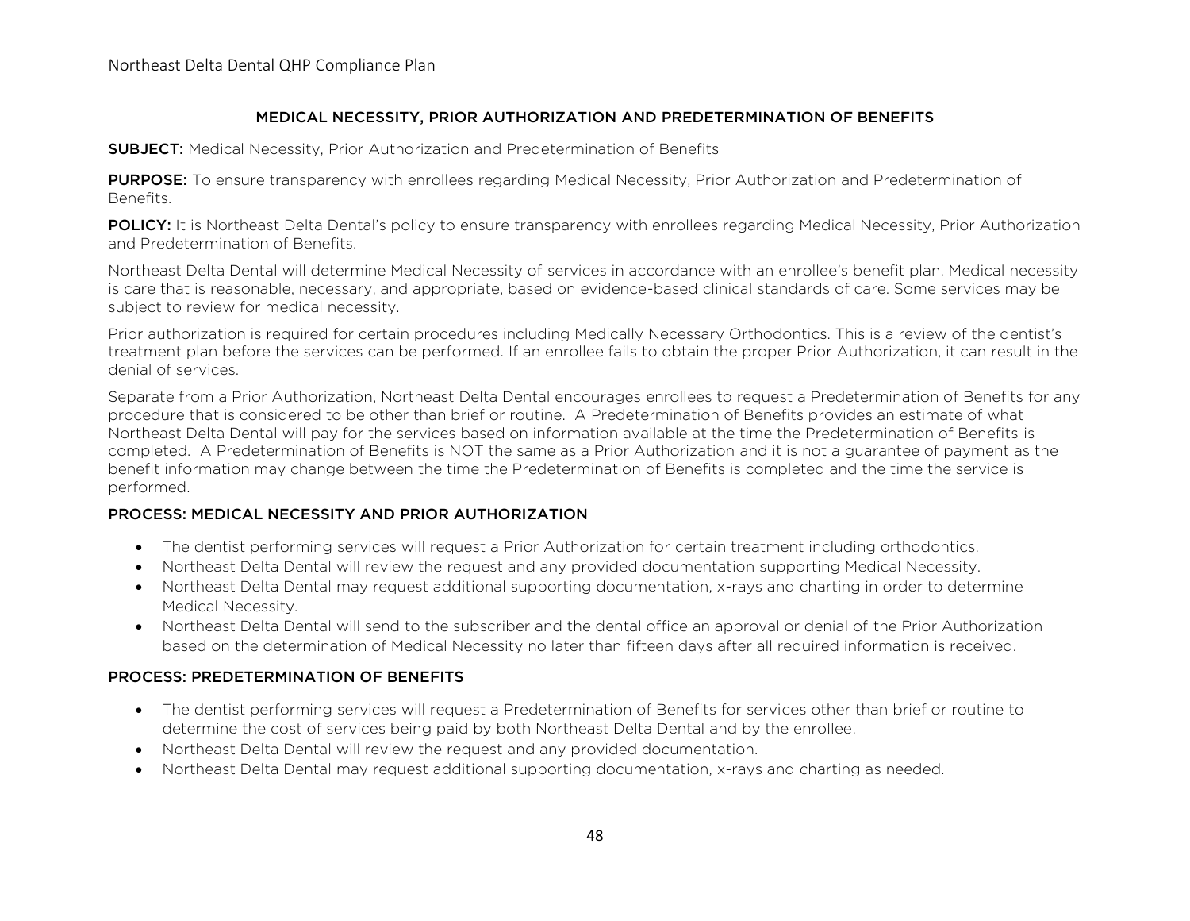## MEDICAL NECESSITY, PRIOR AUTHORIZATION AND PREDETERMINATION OF BENEFITS

**SUBJECT:** Medical Necessity, Prior Authorization and Predetermination of Benefits

**PURPOSE:** To ensure transparency with enrollees regarding Medical Necessity, Prior Authorization and Predetermination of Benefits.

POLICY: It is Northeast Delta Dental's policy to ensure transparency with enrollees regarding Medical Necessity, Prior Authorization and Predetermination of Benefits.

Northeast Delta Dental will determine Medical Necessity of services in accordance with an enrollee's benefit plan. Medical necessity is care that is reasonable, necessary, and appropriate, based on evidence-based clinical standards of care. Some services may be subject to review for medical necessity.

Prior authorization is required for certain procedures including Medically Necessary Orthodontics. This is a review of the dentist's treatment plan before the services can be performed. If an enrollee fails to obtain the proper Prior Authorization, it can result in the denial of services.

Separate from a Prior Authorization, Northeast Delta Dental encourages enrollees to request a Predetermination of Benefits for any procedure that is considered to be other than brief or routine. A Predetermination of Benefits provides an estimate of what Northeast Delta Dental will pay for the services based on information available at the time the Predetermination of Benefits is completed. A Predetermination of Benefits is NOT the same as a Prior Authorization and it is not a guarantee of payment as the benefit information may change between the time the Predetermination of Benefits is completed and the time the service is performed.

## PROCESS: MEDICAL NECESSITY AND PRIOR AUTHORIZATION

- The dentist performing services will request a Prior Authorization for certain treatment including orthodontics.
- Northeast Delta Dental will review the request and any provided documentation supporting Medical Necessity.
- Northeast Delta Dental may request additional supporting documentation, x-rays and charting in order to determine Medical Necessity.
- Northeast Delta Dental will send to the subscriber and the dental office an approval or denial of the Prior Authorization based on the determination of Medical Necessity no later than fifteen days after all required information is received.

## PROCESS: PREDETERMINATION OF BENEFITS

- The dentist performing services will request a Predetermination of Benefits for services other than brief or routine to determine the cost of services being paid by both Northeast Delta Dental and by the enrollee.
- Northeast Delta Dental will review the request and any provided documentation.
- Northeast Delta Dental may request additional supporting documentation, x-rays and charting as needed.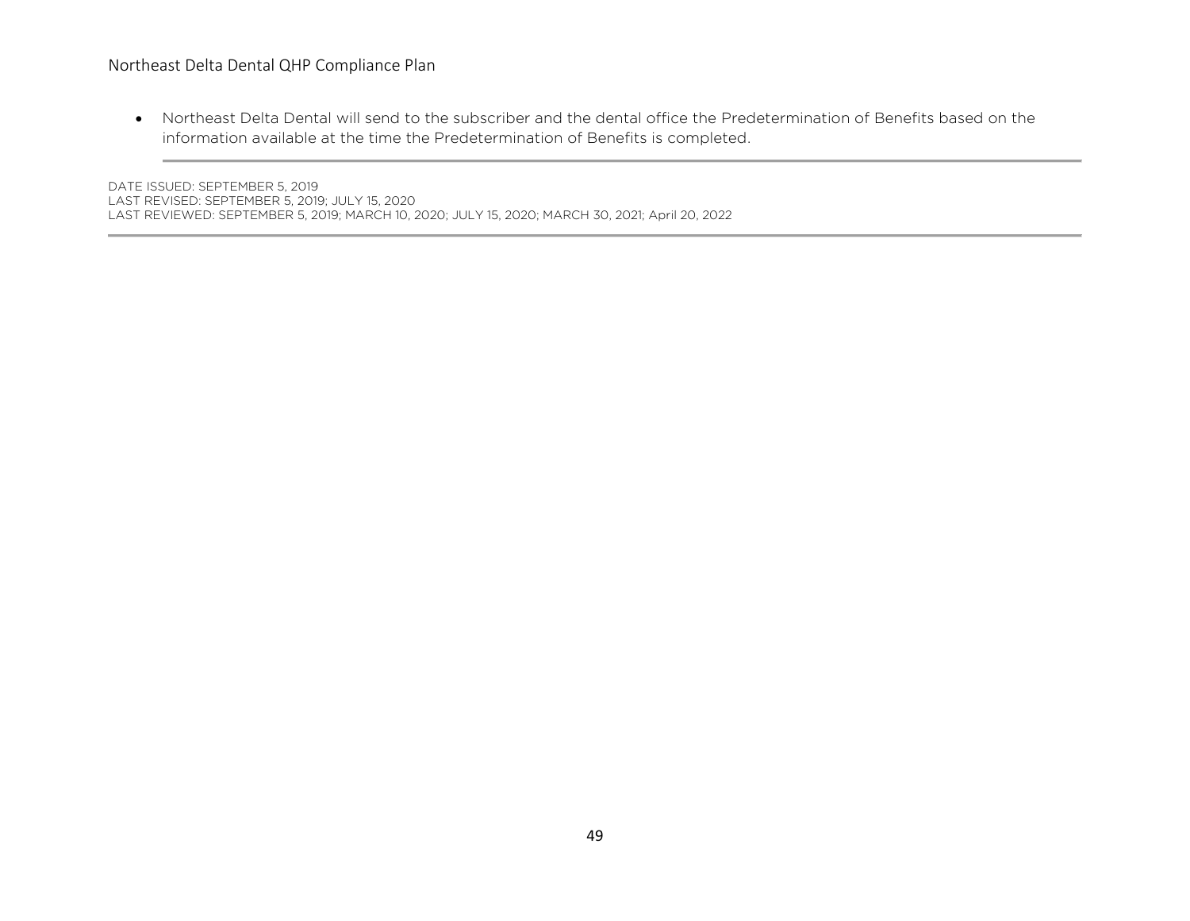# Northeast Delta Dental QHP Compliance Plan

• Northeast Delta Dental will send to the subscriber and the dental office the Predetermination of Benefits based on the information available at the time the Predetermination of Benefits is completed.

DATE ISSUED: SEPTEMBER 5, 2019 LAST REVISED: SEPTEMBER 5, 2019; JULY 15, 2020 LAST REVIEWED: SEPTEMBER 5, 2019; MARCH 10, 2020; JULY 15, 2020; MARCH 30, 2021; April 20, 2022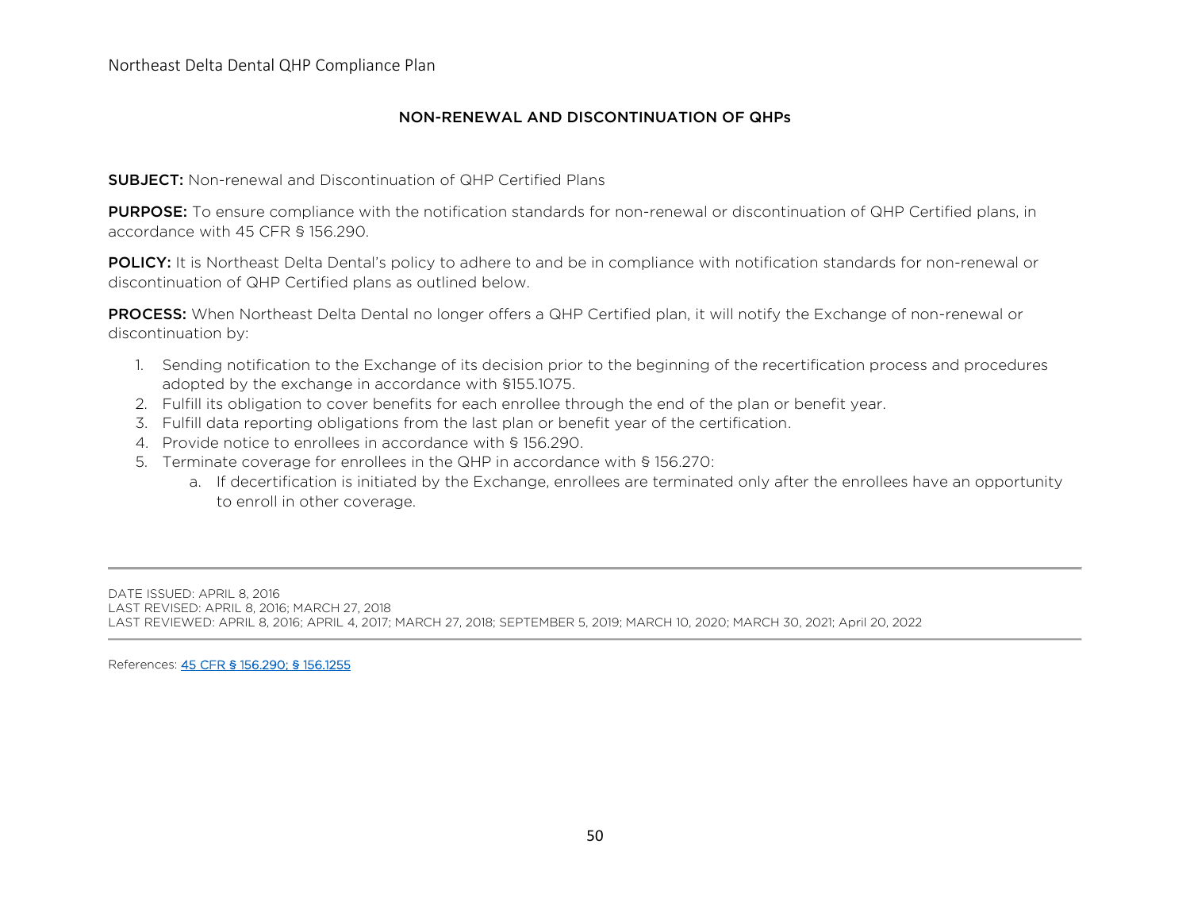## NON-RENEWAL AND DISCONTINUATION OF QHPs

SUBJECT: Non-renewal and Discontinuation of QHP Certified Plans

PURPOSE: To ensure compliance with the notification standards for non-renewal or discontinuation of QHP Certified plans, in accordance with 45 CFR § 156.290.

POLICY: It is Northeast Delta Dental's policy to adhere to and be in compliance with notification standards for non-renewal or discontinuation of QHP Certified plans as outlined below.

PROCESS: When Northeast Delta Dental no longer offers a QHP Certified plan, it will notify the Exchange of non-renewal or discontinuation by:

- 1. Sending notification to the Exchange of its decision prior to the beginning of the recertification process and procedures adopted by the exchange in accordance with §155.1075.
- 2. Fulfill its obligation to cover benefits for each enrollee through the end of the plan or benefit year.
- 3. Fulfill data reporting obligations from the last plan or benefit year of the certification.
- 4. Provide notice to enrollees in accordance with § 156.290.
- 5. Terminate coverage for enrollees in the QHP in accordance with § 156.270:
	- a. If decertification is initiated by the Exchange, enrollees are terminated only after the enrollees have an opportunity to enroll in other coverage.

DATE ISSUED: APRIL 8, 2016 LAST REVISED: APRIL 8, 2016; MARCH 27, 2018 LAST REVIEWED: APRIL 8, 2016; APRIL 4, 2017; MARCH 27, 2018; SEPTEMBER 5, 2019; MARCH 10, 2020; MARCH 30, 2021; April 20, 2022

References: [45 CFR § 156.290;](https://www.law.cornell.edu/cfr/text/45/156.290) § 156.1255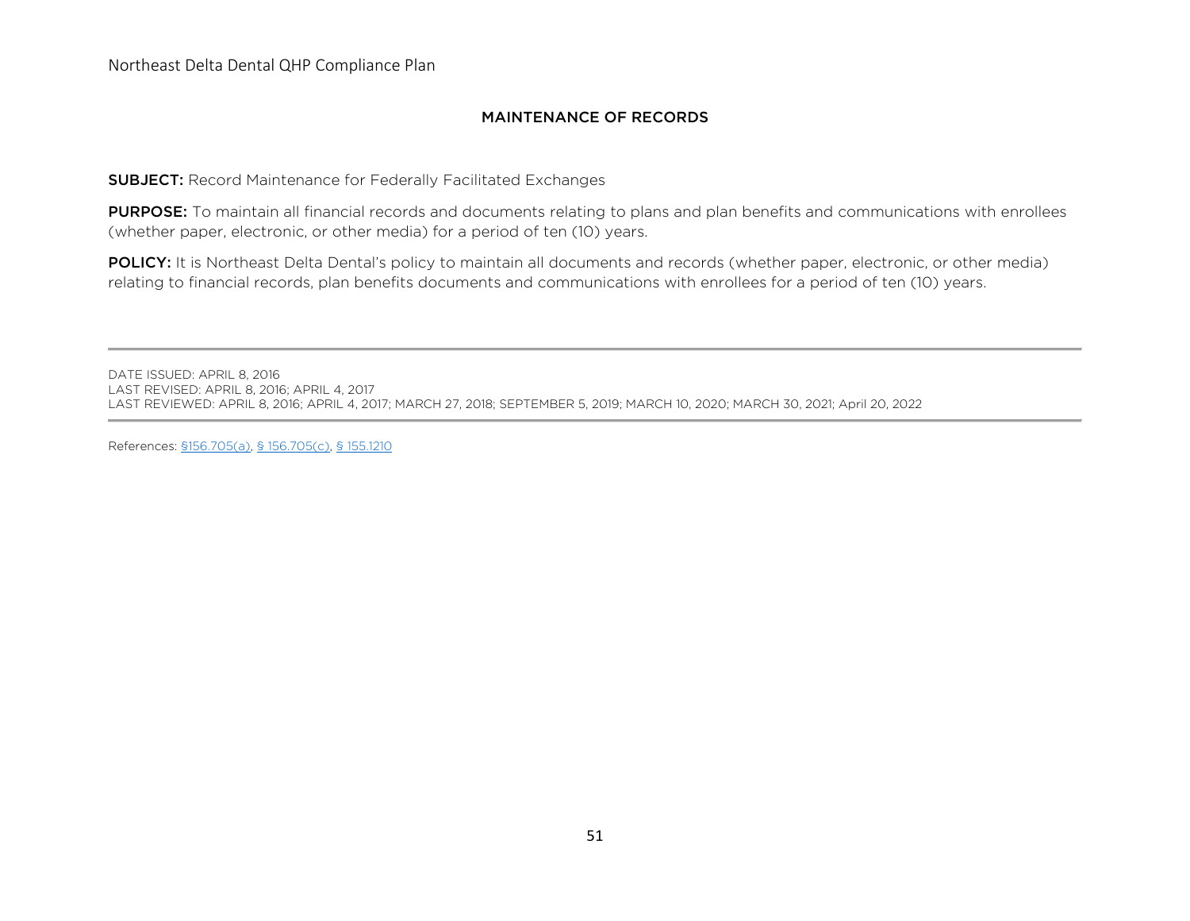## MAINTENANCE OF RECORDS

SUBJECT: Record Maintenance for Federally Facilitated Exchanges

PURPOSE: To maintain all financial records and documents relating to plans and plan benefits and communications with enrollees (whether paper, electronic, or other media) for a period of ten (10) years.

POLICY: It is Northeast Delta Dental's policy to maintain all documents and records (whether paper, electronic, or other media) relating to financial records, plan benefits documents and communications with enrollees for a period of ten (10) years.

DATE ISSUED: APRIL 8, 2016 LAST REVISED: APRIL 8, 2016; APRIL 4, 2017 LAST REVIEWED: APRIL 8, 2016; APRIL 4, 2017; MARCH 27, 2018; SEPTEMBER 5, 2019; MARCH 10, 2020; MARCH 30, 2021; April 20, 2022

References: [§156.705\(a\), § 156.705\(c\),](https://www.law.cornell.edu/cfr/text/45/156.705) [§ 155.1210](https://www.law.cornell.edu/cfr/text/45/155.1210)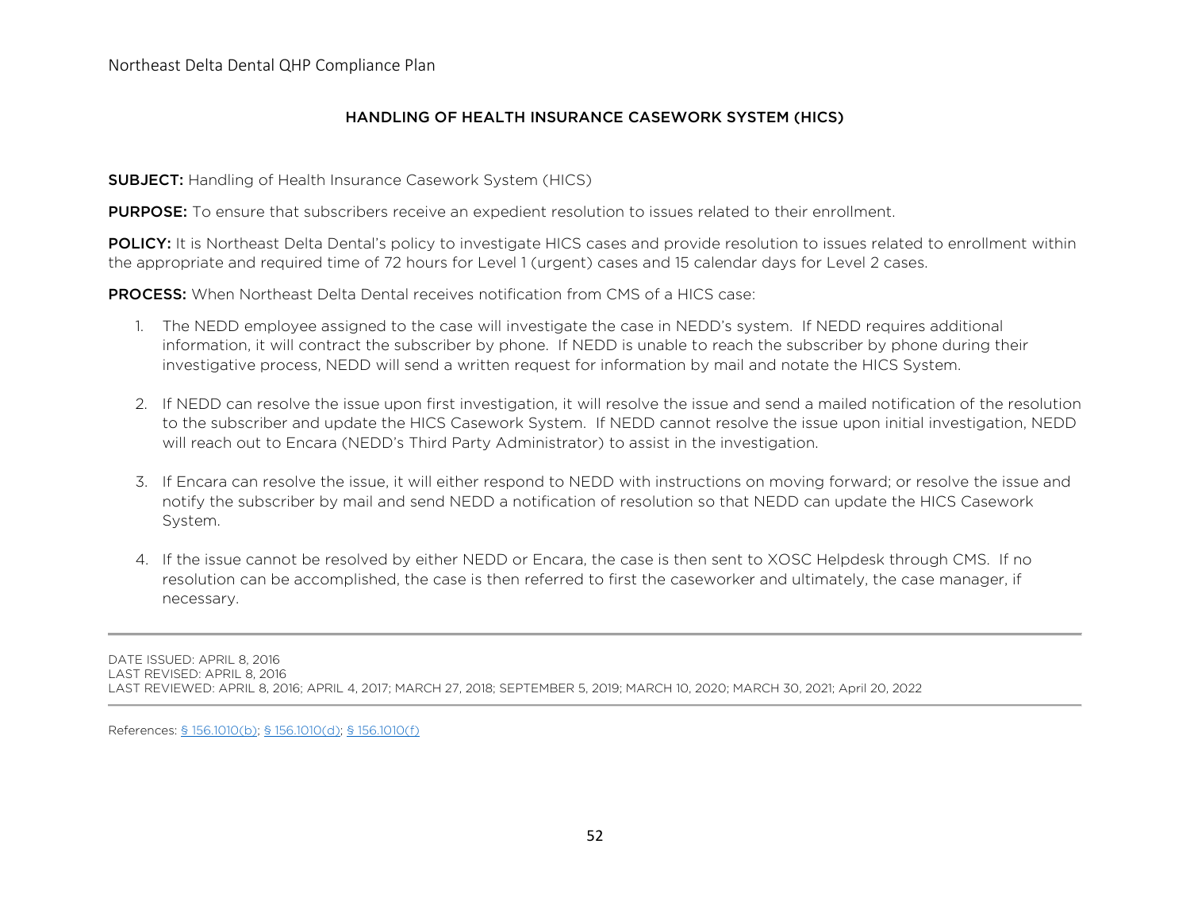## HANDLING OF HEALTH INSURANCE CASEWORK SYSTEM (HICS)

**SUBJECT:** Handling of Health Insurance Casework System (HICS)

**PURPOSE:** To ensure that subscribers receive an expedient resolution to issues related to their enrollment.

POLICY: It is Northeast Delta Dental's policy to investigate HICS cases and provide resolution to issues related to enrollment within the appropriate and required time of 72 hours for Level 1 (urgent) cases and 15 calendar days for Level 2 cases.

PROCESS: When Northeast Delta Dental receives notification from CMS of a HICS case:

- 1. The NEDD employee assigned to the case will investigate the case in NEDD's system. If NEDD requires additional information, it will contract the subscriber by phone. If NEDD is unable to reach the subscriber by phone during their investigative process, NEDD will send a written request for information by mail and notate the HICS System.
- 2. If NEDD can resolve the issue upon first investigation, it will resolve the issue and send a mailed notification of the resolution to the subscriber and update the HICS Casework System. If NEDD cannot resolve the issue upon initial investigation, NEDD will reach out to Encara (NEDD's Third Party Administrator) to assist in the investigation.
- 3. If Encara can resolve the issue, it will either respond to NEDD with instructions on moving forward; or resolve the issue and notify the subscriber by mail and send NEDD a notification of resolution so that NEDD can update the HICS Casework System.
- 4. If the issue cannot be resolved by either NEDD or Encara, the case is then sent to XOSC Helpdesk through CMS. If no resolution can be accomplished, the case is then referred to first the caseworker and ultimately, the case manager, if necessary.

DATE ISSUED: APRIL 8, 2016 LAST REVISED: APRIL 8, 2016 LAST REVIEWED: APRIL 8, 2016; APRIL 4, 2017; MARCH 27, 2018; SEPTEMBER 5, 2019; MARCH 10, 2020; MARCH 30, 2021; April 20, 2022

References: [§ 156.1010\(b\); § 156.1010\(d\); § 156.1010\(f\)](https://www.law.cornell.edu/cfr/text/45/156.1010)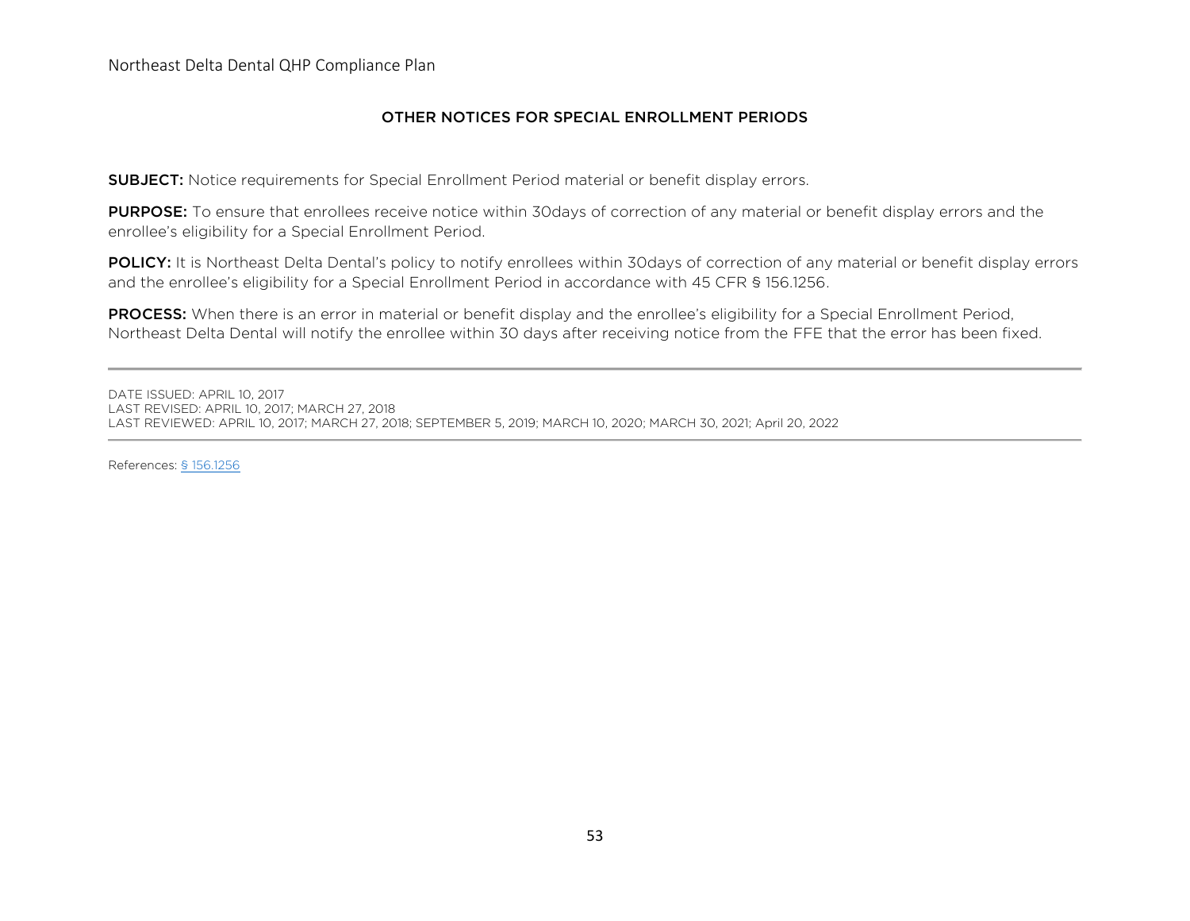## OTHER NOTICES FOR SPECIAL ENROLLMENT PERIODS

SUBJECT: Notice requirements for Special Enrollment Period material or benefit display errors.

PURPOSE: To ensure that enrollees receive notice within 30days of correction of any material or benefit display errors and the enrollee's eligibility for a Special Enrollment Period.

POLICY: It is Northeast Delta Dental's policy to notify enrollees within 30days of correction of any material or benefit display errors and the enrollee's eligibility for a Special Enrollment Period in accordance with 45 CFR § 156.1256.

PROCESS: When there is an error in material or benefit display and the enrollee's eligibility for a Special Enrollment Period, Northeast Delta Dental will notify the enrollee within 30 days after receiving notice from the FFE that the error has been fixed.

DATE ISSUED: APRIL 10, 2017 LAST REVISED: APRIL 10, 2017; MARCH 27, 2018 LAST REVIEWED: APRIL 10, 2017; MARCH 27, 2018; SEPTEMBER 5, 2019; MARCH 10, 2020; MARCH 30, 2021; April 20, 2022

References: [§ 156.1256](https://www.law.cornell.edu/cfr/text/45/156.1010)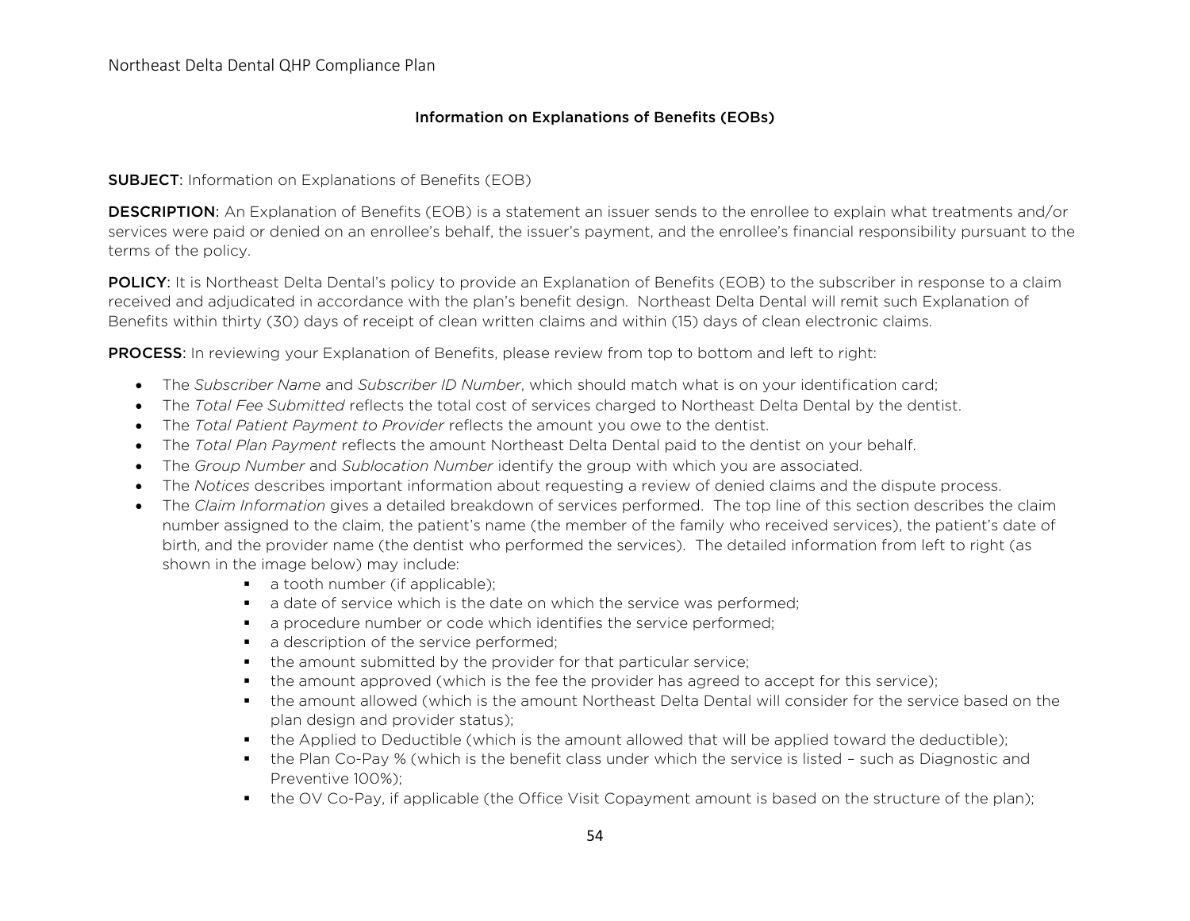## Information on Explanations of Benefits (EOBs)

### **SUBJECT:** Information on Explanations of Benefits (EOB)

**DESCRIPTION:** An Explanation of Benefits (EOB) is a statement an issuer sends to the enrollee to explain what treatments and/or services were paid or denied on an enrollee's behalf, the issuer's payment, and the enrollee's financial responsibility pursuant to the terms of the policy.

POLICY: It is Northeast Delta Dental's policy to provide an Explanation of Benefits (EOB) to the subscriber in response to a claim received and adjudicated in accordance with the plan's benefit design. Northeast Delta Dental will remit such Explanation of Benefits within thirty (30) days of receipt of clean written claims and within (15) days of clean electronic claims.

**PROCESS:** In reviewing your Explanation of Benefits, please review from top to bottom and left to right:

- The *Subscriber Name* and *Subscriber ID Number*, which should match what is on your identification card;
- The *Total Fee Submitted* reflects the total cost of services charged to Northeast Delta Dental by the dentist.
- The *Total Patient Payment to Provider* reflects the amount you owe to the dentist.
- The *Total Plan Payment* reflects the amount Northeast Delta Dental paid to the dentist on your behalf.
- The *Group Number* and *Sublocation Number* identify the group with which you are associated.
- The *Notices* describes important information about requesting a review of denied claims and the dispute process.
- The *Claim Information* gives a detailed breakdown of services performed. The top line of this section describes the claim number assigned to the claim, the patient's name (the member of the family who received services), the patient's date of birth, and the provider name (the dentist who performed the services). The detailed information from left to right (as shown in the image below) may include:
	- a tooth number (if applicable);
	- a date of service which is the date on which the service was performed:
	- a procedure number or code which identifies the service performed;
	- a description of the service performed;
	- the amount submitted by the provider for that particular service;
	- the amount approved (which is the fee the provider has agreed to accept for this service);
	- the amount allowed (which is the amount Northeast Delta Dental will consider for the service based on the plan design and provider status);
	- the Applied to Deductible (which is the amount allowed that will be applied toward the deductible);
	- the Plan Co-Pay % (which is the benefit class under which the service is listed such as Diagnostic and Preventive 100%);
	- the OV Co-Pay, if applicable (the Office Visit Copayment amount is based on the structure of the plan);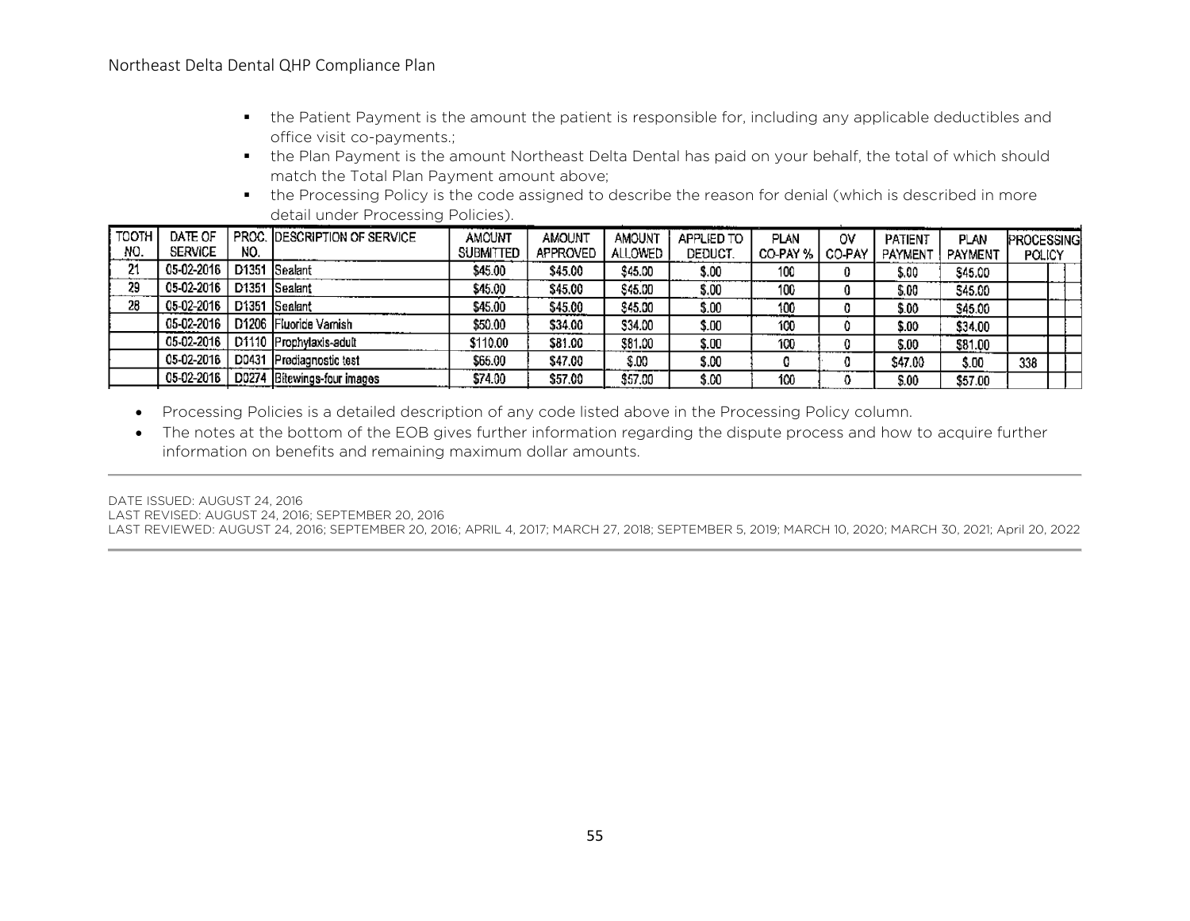- the Patient Payment is the amount the patient is responsible for, including any applicable deductibles and office visit co-payments.;
- the Plan Payment is the amount Northeast Delta Dental has paid on your behalf, the total of which should match the Total Plan Payment amount above;
- the Processing Policy is the code assigned to describe the reason for denial (which is described in more detail under Processing Policies).

| TOOTH | DATE OF        |     | PROC. DESCRIPTION OF SERVICE | AMOUNT           | AMOUNT          | <b>AMOUNT</b> | APPLIED TO | PLAN              | o٧ | PATIENT        | PLAN    | PROCESSING |  |
|-------|----------------|-----|------------------------------|------------------|-----------------|---------------|------------|-------------------|----|----------------|---------|------------|--|
| NO.   | <b>SERVICE</b> | NO. |                              | <b>SUBMITTED</b> | <b>APPROVED</b> | ALLOWED       | DEDUCT.    | CO-PAY %   CO-PAY |    | <b>PAYMENT</b> | PAYMENT | POLICY     |  |
| 21    | 05-02-2016     |     | D1351 Sealant                | \$45.00          | \$45.00         | \$45.00       | \$.00      | 100               |    | \$.00          | \$45.00 |            |  |
| 29    | 05-02-2016     |     | D1351 Sealant                | \$45.00          | \$45.00         | \$45.00       | \$.00      | 100               |    | \$.00          | \$45.00 |            |  |
| 28    | 05-02-2016     |     | D1351 Sealant                | \$45.00          | \$45.00         | \$45.00       | \$.00      | 100               |    | \$.00          | \$45.00 |            |  |
|       | 05-02-2016     |     | D1206 Fluoride Varnish       | \$50.00          | \$34.00         | \$34.00       | \$.00      | 100               |    | \$.00          | \$34.00 |            |  |
|       | 05-02-2016     |     | D1110 Prophylaxis-adult      | \$110.00         | \$81.00         | \$81.00       | \$.00      | 100               |    | \$.00          | \$81.00 |            |  |
|       | 05-02-2016     |     | D0431 Prediagnostic test     | \$65.00          | \$47.00         | \$.00         | \$.00      |                   |    | \$47.00        | \$.00   | 338        |  |
|       | 05-02-2016     |     | D0274 Bitewings-four images  | \$74.00          | \$57.00         | \$57.00       | \$.00      | 100               |    | $\$.00$        | \$57.00 |            |  |
|       |                |     |                              |                  |                 |               |            |                   |    |                |         |            |  |

- Processing Policies is a detailed description of any code listed above in the Processing Policy column.
- The notes at the bottom of the EOB gives further information regarding the dispute process and how to acquire further information on benefits and remaining maximum dollar amounts.

DATE ISSUED: AUGUST 24, 2016

LAST REVISED: AUGUST 24, 2016; SEPTEMBER 20, 2016

LAST REVIEWED: AUGUST 24, 2016; SEPTEMBER 20, 2016; APRIL 4, 2017; MARCH 27, 2018; SEPTEMBER 5, 2019; MARCH 10, 2020; MARCH 30, 2021; April 20, 2022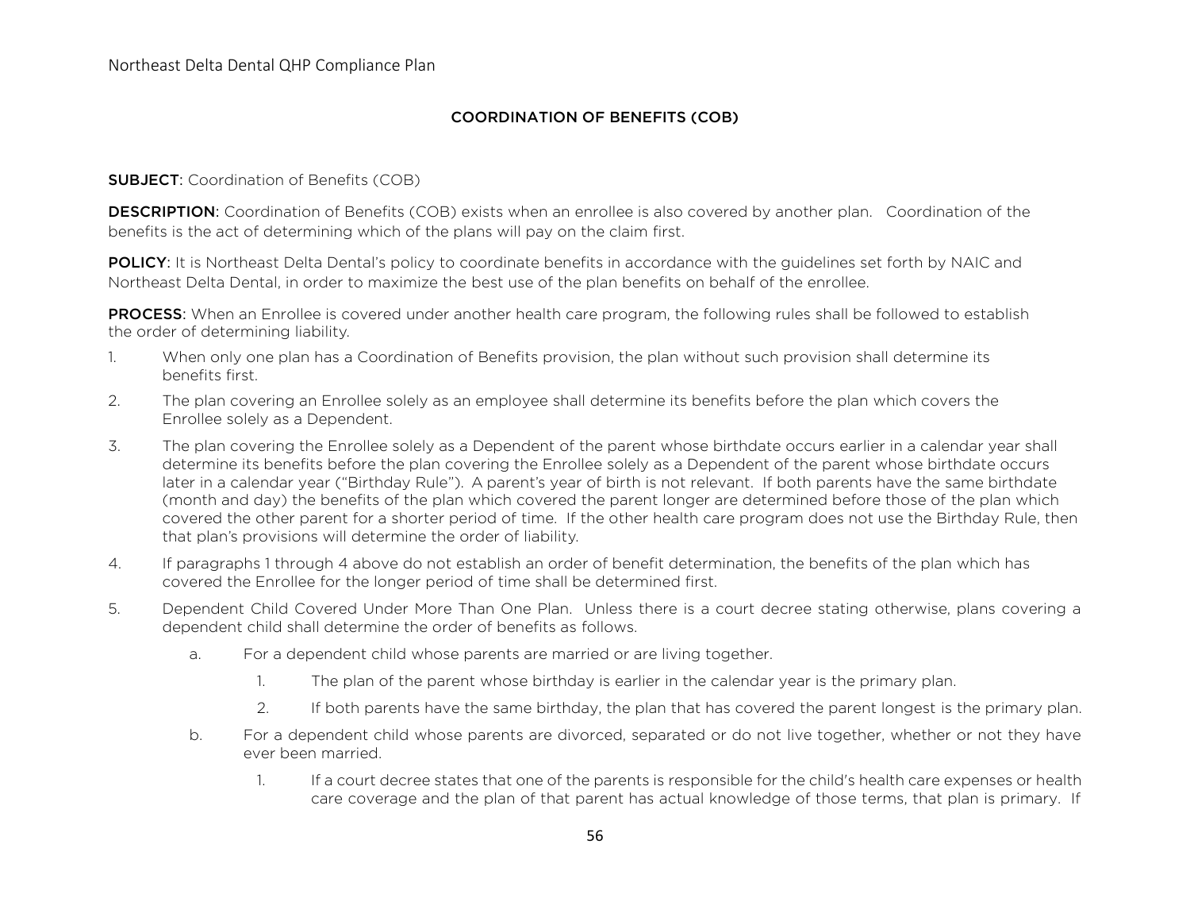## COORDINATION OF BENEFITS (COB)

#### **SUBJECT:** Coordination of Benefits (COB)

**DESCRIPTION:** Coordination of Benefits (COB) exists when an enrollee is also covered by another plan. Coordination of the benefits is the act of determining which of the plans will pay on the claim first.

POLICY: It is Northeast Delta Dental's policy to coordinate benefits in accordance with the guidelines set forth by NAIC and Northeast Delta Dental, in order to maximize the best use of the plan benefits on behalf of the enrollee.

PROCESS: When an Enrollee is covered under another health care program, the following rules shall be followed to establish the order of determining liability.

- 1. When only one plan has a Coordination of Benefits provision, the plan without such provision shall determine its benefits first.
- 2. The plan covering an Enrollee solely as an employee shall determine its benefits before the plan which covers the Enrollee solely as a Dependent.
- 3. The plan covering the Enrollee solely as a Dependent of the parent whose birthdate occurs earlier in a calendar year shall determine its benefits before the plan covering the Enrollee solely as a Dependent of the parent whose birthdate occurs later in a calendar year ("Birthday Rule"). A parent's year of birth is not relevant. If both parents have the same birthdate (month and day) the benefits of the plan which covered the parent longer are determined before those of the plan which covered the other parent for a shorter period of time. If the other health care program does not use the Birthday Rule, then that plan's provisions will determine the order of liability.
- 4. If paragraphs 1 through 4 above do not establish an order of benefit determination, the benefits of the plan which has covered the Enrollee for the longer period of time shall be determined first.
- 5. Dependent Child Covered Under More Than One Plan. Unless there is a court decree stating otherwise, plans covering a dependent child shall determine the order of benefits as follows.
	- a. For a dependent child whose parents are married or are living together.
		- 1. The plan of the parent whose birthday is earlier in the calendar year is the primary plan.
		- 2. If both parents have the same birthday, the plan that has covered the parent longest is the primary plan.
	- b. For a dependent child whose parents are divorced, separated or do not live together, whether or not they have ever been married.
		- 1. If a court decree states that one of the parents is responsible for the child's health care expenses or health care coverage and the plan of that parent has actual knowledge of those terms, that plan is primary. If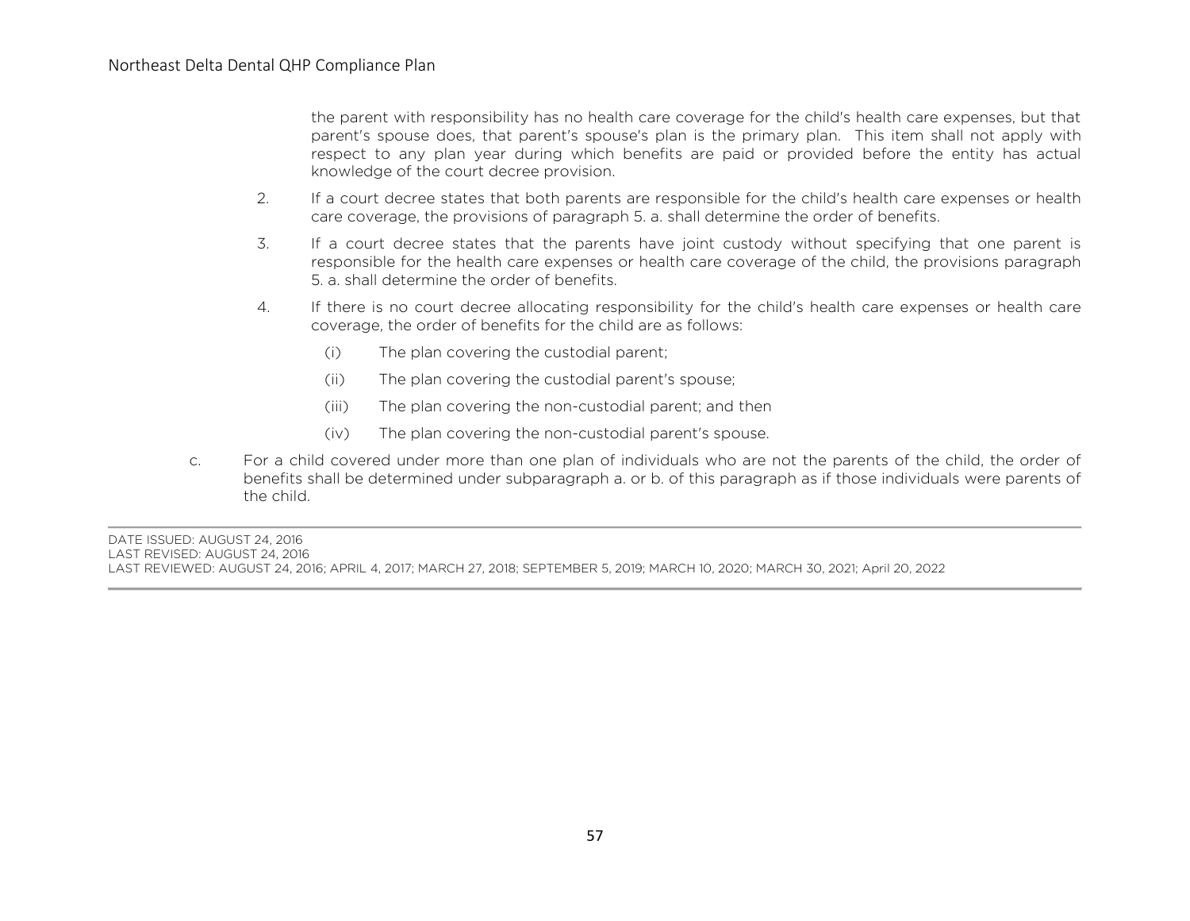the parent with responsibility has no health care coverage for the child's health care expenses, but that parent's spouse does, that parent's spouse's plan is the primary plan. This item shall not apply with respect to any plan year during which benefits are paid or provided before the entity has actual knowledge of the court decree provision.

- 2. If a court decree states that both parents are responsible for the child's health care expenses or health care coverage, the provisions of paragraph 5. a. shall determine the order of benefits.
- 3. If a court decree states that the parents have joint custody without specifying that one parent is responsible for the health care expenses or health care coverage of the child, the provisions paragraph 5. a. shall determine the order of benefits.
- 4. If there is no court decree allocating responsibility for the child's health care expenses or health care coverage, the order of benefits for the child are as follows:
	- (i) The plan covering the custodial parent;
	- (ii) The plan covering the custodial parent's spouse;
	- (iii) The plan covering the non-custodial parent; and then
	- (iv) The plan covering the non-custodial parent's spouse.
- c. For a child covered under more than one plan of individuals who are not the parents of the child, the order of benefits shall be determined under subparagraph a. or b. of this paragraph as if those individuals were parents of the child.

DATE ISSUED: AUGUST 24, 2016 LAST REVISED: AUGUST 24, 2016 LAST REVIEWED: AUGUST 24, 2016; APRIL 4, 2017; MARCH 27, 2018; SEPTEMBER 5, 2019; MARCH 10, 2020; MARCH 30, 2021; April 20, 2022